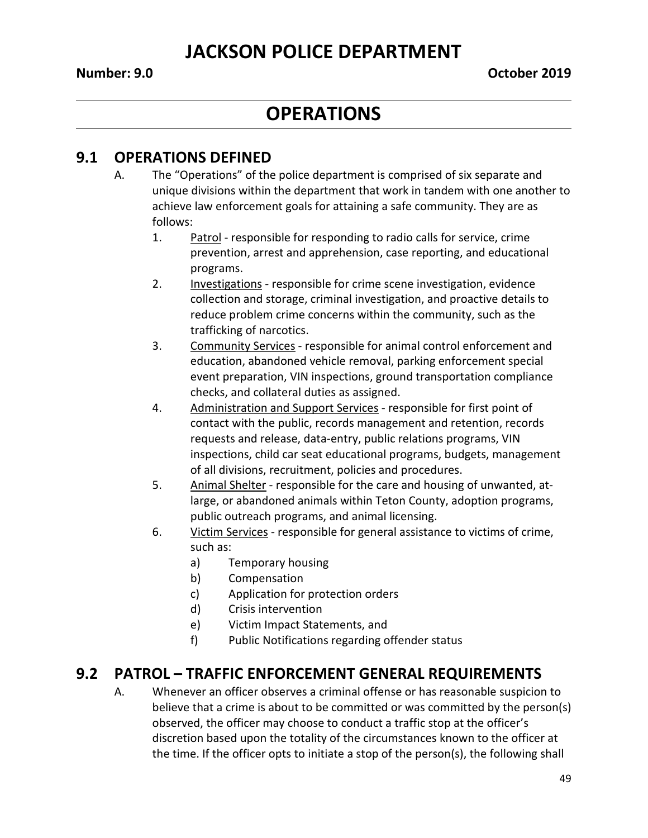### **OPERATIONS**

#### **9.1 OPERATIONS DEFINED**

- A. The "Operations" of the police department is comprised of six separate and unique divisions within the department that work in tandem with one another to achieve law enforcement goals for attaining a safe community. They are as follows:
	- 1. Patrol responsible for responding to radio calls for service, crime prevention, arrest and apprehension, case reporting, and educational programs.
	- 2. Investigations responsible for crime scene investigation, evidence collection and storage, criminal investigation, and proactive details to reduce problem crime concerns within the community, such as the trafficking of narcotics.
	- 3. Community Services responsible for animal control enforcement and education, abandoned vehicle removal, parking enforcement special event preparation, VIN inspections, ground transportation compliance checks, and collateral duties as assigned.
	- 4. Administration and Support Services responsible for first point of contact with the public, records management and retention, records requests and release, data-entry, public relations programs, VIN inspections, child car seat educational programs, budgets, management of all divisions, recruitment, policies and procedures.
	- 5. Animal Shelter responsible for the care and housing of unwanted, atlarge, or abandoned animals within Teton County, adoption programs, public outreach programs, and animal licensing.
	- 6. Victim Services responsible for general assistance to victims of crime, such as:
		- a) Temporary housing
		- b) Compensation
		- c) Application for protection orders
		- d) Crisis intervention
		- e) Victim Impact Statements, and
		- f) Public Notifications regarding offender status

#### **9.2 PATROL – TRAFFIC ENFORCEMENT GENERAL REQUIREMENTS**

A. Whenever an officer observes a criminal offense or has reasonable suspicion to believe that a crime is about to be committed or was committed by the person(s) observed, the officer may choose to conduct a traffic stop at the officer's discretion based upon the totality of the circumstances known to the officer at the time. If the officer opts to initiate a stop of the person(s), the following shall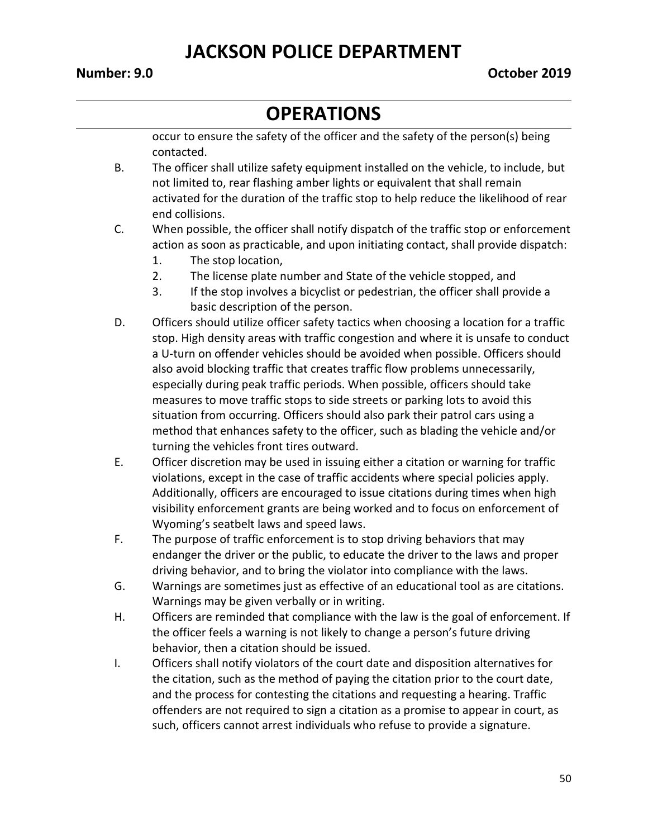# **OPERATIONS**

occur to ensure the safety of the officer and the safety of the person(s) being contacted.

- B. The officer shall utilize safety equipment installed on the vehicle, to include, but not limited to, rear flashing amber lights or equivalent that shall remain activated for the duration of the traffic stop to help reduce the likelihood of rear end collisions.
- C. When possible, the officer shall notify dispatch of the traffic stop or enforcement action as soon as practicable, and upon initiating contact, shall provide dispatch:
	- 1. The stop location,
	- 2. The license plate number and State of the vehicle stopped, and
	- 3. If the stop involves a bicyclist or pedestrian, the officer shall provide a basic description of the person.
- D. Officers should utilize officer safety tactics when choosing a location for a traffic stop. High density areas with traffic congestion and where it is unsafe to conduct a U-turn on offender vehicles should be avoided when possible. Officers should also avoid blocking traffic that creates traffic flow problems unnecessarily, especially during peak traffic periods. When possible, officers should take measures to move traffic stops to side streets or parking lots to avoid this situation from occurring. Officers should also park their patrol cars using a method that enhances safety to the officer, such as blading the vehicle and/or turning the vehicles front tires outward.
- E. Officer discretion may be used in issuing either a citation or warning for traffic violations, except in the case of traffic accidents where special policies apply. Additionally, officers are encouraged to issue citations during times when high visibility enforcement grants are being worked and to focus on enforcement of Wyoming's seatbelt laws and speed laws.
- F. The purpose of traffic enforcement is to stop driving behaviors that may endanger the driver or the public, to educate the driver to the laws and proper driving behavior, and to bring the violator into compliance with the laws.
- G. Warnings are sometimes just as effective of an educational tool as are citations. Warnings may be given verbally or in writing.
- H. Officers are reminded that compliance with the law is the goal of enforcement. If the officer feels a warning is not likely to change a person's future driving behavior, then a citation should be issued.
- I. Officers shall notify violators of the court date and disposition alternatives for the citation, such as the method of paying the citation prior to the court date, and the process for contesting the citations and requesting a hearing. Traffic offenders are not required to sign a citation as a promise to appear in court, as such, officers cannot arrest individuals who refuse to provide a signature.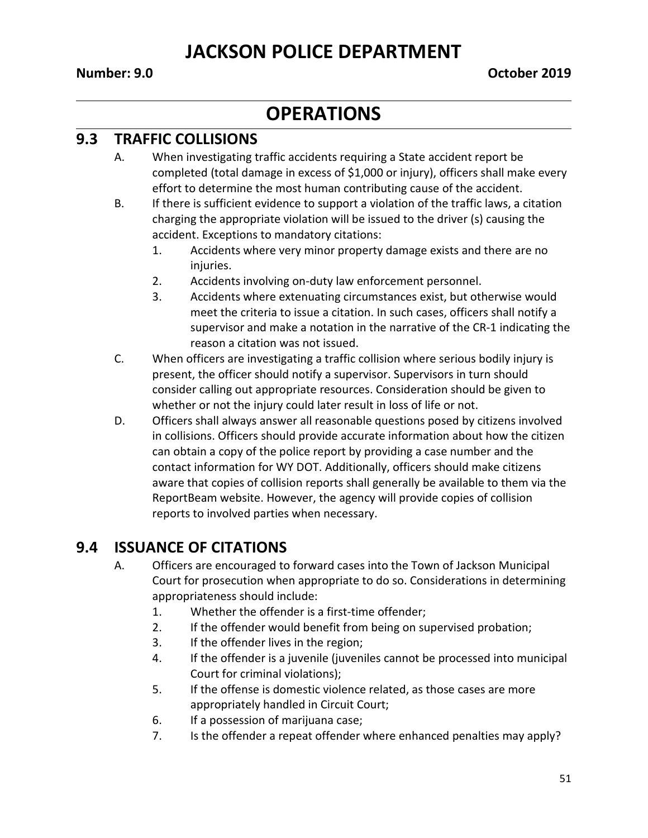#### **OPERATIONS**

#### **9.3 TRAFFIC COLLISIONS**

- A. When investigating traffic accidents requiring a State accident report be completed (total damage in excess of \$1,000 or injury), officers shall make every effort to determine the most human contributing cause of the accident.
- B. If there is sufficient evidence to support a violation of the traffic laws, a citation charging the appropriate violation will be issued to the driver (s) causing the accident. Exceptions to mandatory citations:
	- 1. Accidents where very minor property damage exists and there are no injuries.
	- 2. Accidents involving on-duty law enforcement personnel.
	- 3. Accidents where extenuating circumstances exist, but otherwise would meet the criteria to issue a citation. In such cases, officers shall notify a supervisor and make a notation in the narrative of the CR-1 indicating the reason a citation was not issued.
- C. When officers are investigating a traffic collision where serious bodily injury is present, the officer should notify a supervisor. Supervisors in turn should consider calling out appropriate resources. Consideration should be given to whether or not the injury could later result in loss of life or not.
- D. Officers shall always answer all reasonable questions posed by citizens involved in collisions. Officers should provide accurate information about how the citizen can obtain a copy of the police report by providing a case number and the contact information for WY DOT. Additionally, officers should make citizens aware that copies of collision reports shall generally be available to them via the ReportBeam website. However, the agency will provide copies of collision reports to involved parties when necessary.

#### **9.4 ISSUANCE OF CITATIONS**

- A. Officers are encouraged to forward cases into the Town of Jackson Municipal Court for prosecution when appropriate to do so. Considerations in determining appropriateness should include:
	- 1. Whether the offender is a first-time offender;
	- 2. If the offender would benefit from being on supervised probation;
	- 3. If the offender lives in the region;
	- 4. If the offender is a juvenile (juveniles cannot be processed into municipal Court for criminal violations);
	- 5. If the offense is domestic violence related, as those cases are more appropriately handled in Circuit Court;
	- 6. If a possession of marijuana case;
	- 7. Is the offender a repeat offender where enhanced penalties may apply?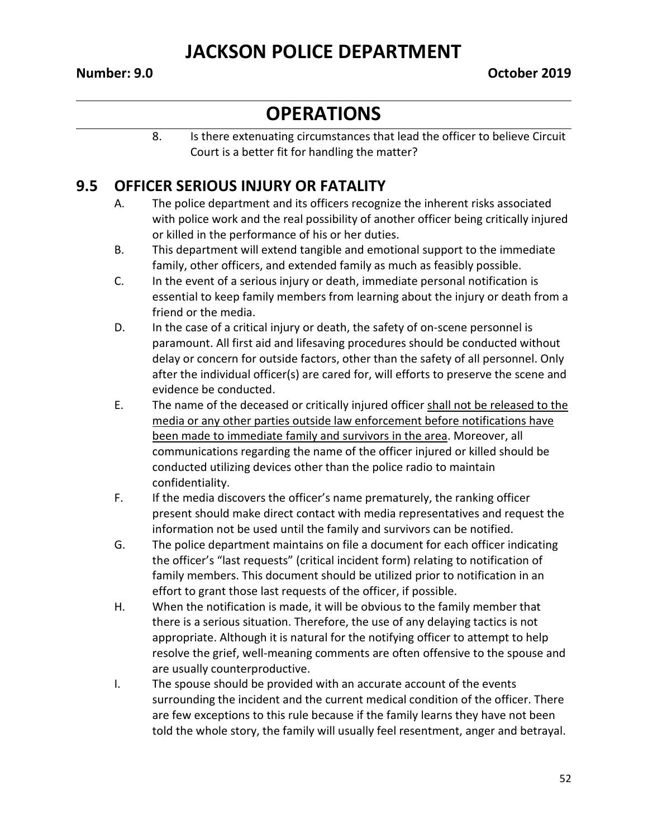#### **OPERATIONS**

8. Is there extenuating circumstances that lead the officer to believe Circuit Court is a better fit for handling the matter?

#### **9.5 OFFICER SERIOUS INJURY OR FATALITY**

- A. The police department and its officers recognize the inherent risks associated with police work and the real possibility of another officer being critically injured or killed in the performance of his or her duties.
- B. This department will extend tangible and emotional support to the immediate family, other officers, and extended family as much as feasibly possible.
- C. In the event of a serious injury or death, immediate personal notification is essential to keep family members from learning about the injury or death from a friend or the media.
- D. In the case of a critical injury or death, the safety of on-scene personnel is paramount. All first aid and lifesaving procedures should be conducted without delay or concern for outside factors, other than the safety of all personnel. Only after the individual officer(s) are cared for, will efforts to preserve the scene and evidence be conducted.
- E. The name of the deceased or critically injured officer shall not be released to the media or any other parties outside law enforcement before notifications have been made to immediate family and survivors in the area. Moreover, all communications regarding the name of the officer injured or killed should be conducted utilizing devices other than the police radio to maintain confidentiality.
- F. If the media discovers the officer's name prematurely, the ranking officer present should make direct contact with media representatives and request the information not be used until the family and survivors can be notified.
- G. The police department maintains on file a document for each officer indicating the officer's "last requests" (critical incident form) relating to notification of family members. This document should be utilized prior to notification in an effort to grant those last requests of the officer, if possible.
- H. When the notification is made, it will be obvious to the family member that there is a serious situation. Therefore, the use of any delaying tactics is not appropriate. Although it is natural for the notifying officer to attempt to help resolve the grief, well-meaning comments are often offensive to the spouse and are usually counterproductive.
- I. The spouse should be provided with an accurate account of the events surrounding the incident and the current medical condition of the officer. There are few exceptions to this rule because if the family learns they have not been told the whole story, the family will usually feel resentment, anger and betrayal.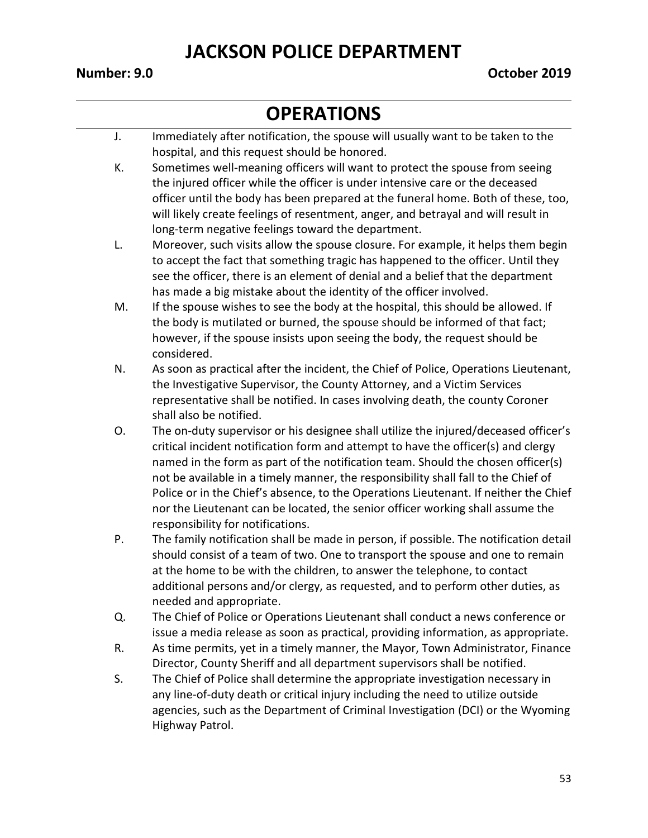- J. Immediately after notification, the spouse will usually want to be taken to the hospital, and this request should be honored.
- K. Sometimes well-meaning officers will want to protect the spouse from seeing the injured officer while the officer is under intensive care or the deceased officer until the body has been prepared at the funeral home. Both of these, too, will likely create feelings of resentment, anger, and betrayal and will result in long-term negative feelings toward the department.
- L. Moreover, such visits allow the spouse closure. For example, it helps them begin to accept the fact that something tragic has happened to the officer. Until they see the officer, there is an element of denial and a belief that the department has made a big mistake about the identity of the officer involved.
- M. If the spouse wishes to see the body at the hospital, this should be allowed. If the body is mutilated or burned, the spouse should be informed of that fact; however, if the spouse insists upon seeing the body, the request should be considered.
- N. As soon as practical after the incident, the Chief of Police, Operations Lieutenant, the Investigative Supervisor, the County Attorney, and a Victim Services representative shall be notified. In cases involving death, the county Coroner shall also be notified.
- O. The on-duty supervisor or his designee shall utilize the injured/deceased officer's critical incident notification form and attempt to have the officer(s) and clergy named in the form as part of the notification team. Should the chosen officer(s) not be available in a timely manner, the responsibility shall fall to the Chief of Police or in the Chief's absence, to the Operations Lieutenant. If neither the Chief nor the Lieutenant can be located, the senior officer working shall assume the responsibility for notifications.
- P. The family notification shall be made in person, if possible. The notification detail should consist of a team of two. One to transport the spouse and one to remain at the home to be with the children, to answer the telephone, to contact additional persons and/or clergy, as requested, and to perform other duties, as needed and appropriate.
- Q. The Chief of Police or Operations Lieutenant shall conduct a news conference or issue a media release as soon as practical, providing information, as appropriate.
- R. As time permits, yet in a timely manner, the Mayor, Town Administrator, Finance Director, County Sheriff and all department supervisors shall be notified.
- S. The Chief of Police shall determine the appropriate investigation necessary in any line-of-duty death or critical injury including the need to utilize outside agencies, such as the Department of Criminal Investigation (DCI) or the Wyoming Highway Patrol.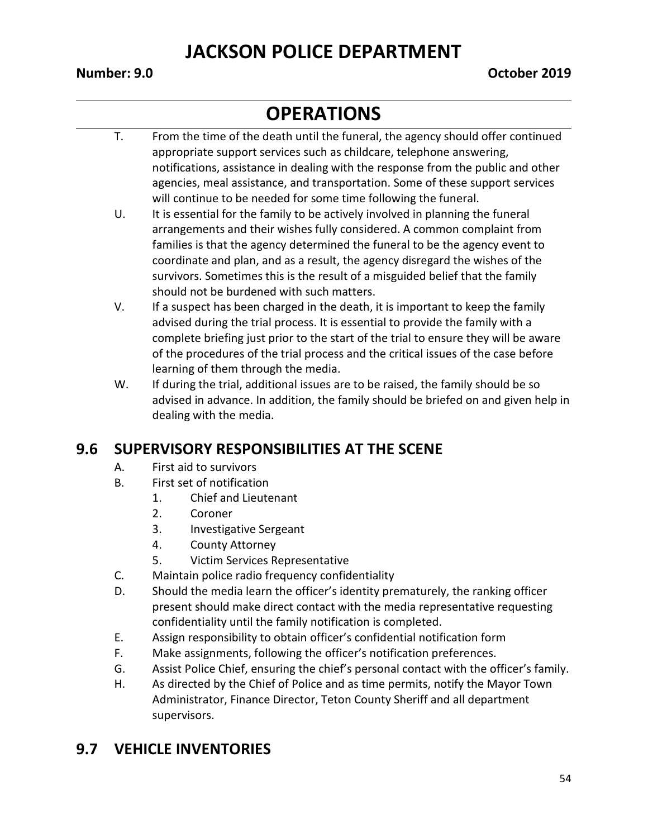# **OPERATIONS**

- T. From the time of the death until the funeral, the agency should offer continued appropriate support services such as childcare, telephone answering, notifications, assistance in dealing with the response from the public and other agencies, meal assistance, and transportation. Some of these support services will continue to be needed for some time following the funeral.
- U. It is essential for the family to be actively involved in planning the funeral arrangements and their wishes fully considered. A common complaint from families is that the agency determined the funeral to be the agency event to coordinate and plan, and as a result, the agency disregard the wishes of the survivors. Sometimes this is the result of a misguided belief that the family should not be burdened with such matters.
- V. If a suspect has been charged in the death, it is important to keep the family advised during the trial process. It is essential to provide the family with a complete briefing just prior to the start of the trial to ensure they will be aware of the procedures of the trial process and the critical issues of the case before learning of them through the media.
- W. If during the trial, additional issues are to be raised, the family should be so advised in advance. In addition, the family should be briefed on and given help in dealing with the media.

#### **9.6 SUPERVISORY RESPONSIBILITIES AT THE SCENE**

- A. First aid to survivors
- B. First set of notification
	- 1. Chief and Lieutenant
	- 2. Coroner
	- 3. Investigative Sergeant
	- 4. County Attorney
	- 5. Victim Services Representative
- C. Maintain police radio frequency confidentiality
- D. Should the media learn the officer's identity prematurely, the ranking officer present should make direct contact with the media representative requesting confidentiality until the family notification is completed.
- E. Assign responsibility to obtain officer's confidential notification form
- F. Make assignments, following the officer's notification preferences.
- G. Assist Police Chief, ensuring the chief's personal contact with the officer's family.
- H. As directed by the Chief of Police and as time permits, notify the Mayor Town Administrator, Finance Director, Teton County Sheriff and all department supervisors.

#### **9.7 VEHICLE INVENTORIES**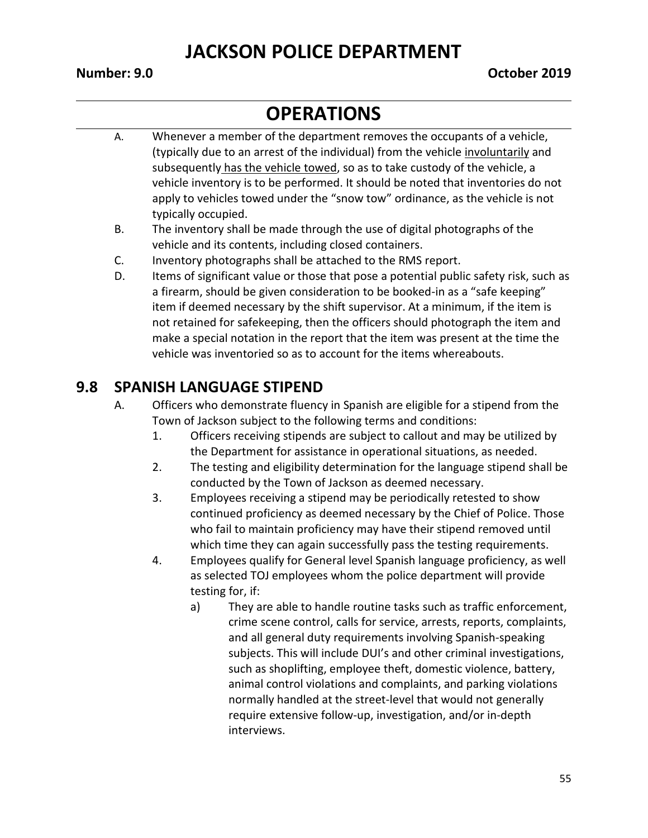#### **OPERATIONS**

- A. Whenever a member of the department removes the occupants of a vehicle, (typically due to an arrest of the individual) from the vehicle involuntarily and subsequently has the vehicle towed, so as to take custody of the vehicle, a vehicle inventory is to be performed. It should be noted that inventories do not apply to vehicles towed under the "snow tow" ordinance, as the vehicle is not typically occupied.
- B. The inventory shall be made through the use of digital photographs of the vehicle and its contents, including closed containers.
- C. Inventory photographs shall be attached to the RMS report.
- D. Items of significant value or those that pose a potential public safety risk, such as a firearm, should be given consideration to be booked-in as a "safe keeping" item if deemed necessary by the shift supervisor. At a minimum, if the item is not retained for safekeeping, then the officers should photograph the item and make a special notation in the report that the item was present at the time the vehicle was inventoried so as to account for the items whereabouts.

#### **9.8 SPANISH LANGUAGE STIPEND**

- A. Officers who demonstrate fluency in Spanish are eligible for a stipend from the Town of Jackson subject to the following terms and conditions:
	- 1. Officers receiving stipends are subject to callout and may be utilized by the Department for assistance in operational situations, as needed.
	- 2. The testing and eligibility determination for the language stipend shall be conducted by the Town of Jackson as deemed necessary.
	- 3. Employees receiving a stipend may be periodically retested to show continued proficiency as deemed necessary by the Chief of Police. Those who fail to maintain proficiency may have their stipend removed until which time they can again successfully pass the testing requirements.
	- 4. Employees qualify for General level Spanish language proficiency, as well as selected TOJ employees whom the police department will provide testing for, if:
		- a) They are able to handle routine tasks such as traffic enforcement, crime scene control, calls for service, arrests, reports, complaints, and all general duty requirements involving Spanish-speaking subjects. This will include DUI's and other criminal investigations, such as shoplifting, employee theft, domestic violence, battery, animal control violations and complaints, and parking violations normally handled at the street-level that would not generally require extensive follow-up, investigation, and/or in-depth interviews.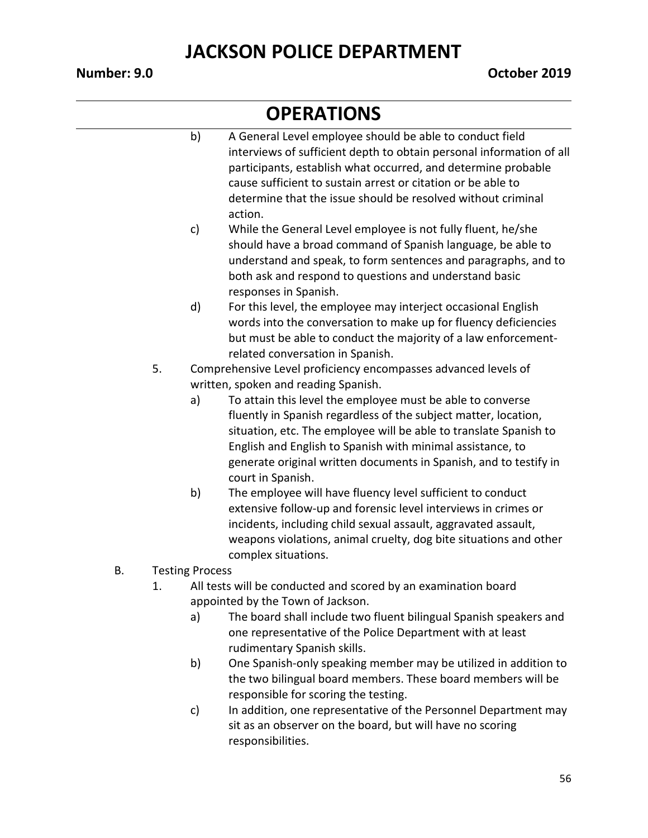- b) A General Level employee should be able to conduct field interviews of sufficient depth to obtain personal information of all participants, establish what occurred, and determine probable cause sufficient to sustain arrest or citation or be able to determine that the issue should be resolved without criminal action.
- c) While the General Level employee is not fully fluent, he/she should have a broad command of Spanish language, be able to understand and speak, to form sentences and paragraphs, and to both ask and respond to questions and understand basic responses in Spanish.
- d) For this level, the employee may interject occasional English words into the conversation to make up for fluency deficiencies but must be able to conduct the majority of a law enforcementrelated conversation in Spanish.
- 5. Comprehensive Level proficiency encompasses advanced levels of written, spoken and reading Spanish.
	- a) To attain this level the employee must be able to converse fluently in Spanish regardless of the subject matter, location, situation, etc. The employee will be able to translate Spanish to English and English to Spanish with minimal assistance, to generate original written documents in Spanish, and to testify in court in Spanish.
	- b) The employee will have fluency level sufficient to conduct extensive follow-up and forensic level interviews in crimes or incidents, including child sexual assault, aggravated assault, weapons violations, animal cruelty, dog bite situations and other complex situations.
- B. Testing Process
	- 1. All tests will be conducted and scored by an examination board appointed by the Town of Jackson.
		- a) The board shall include two fluent bilingual Spanish speakers and one representative of the Police Department with at least rudimentary Spanish skills.
		- b) One Spanish-only speaking member may be utilized in addition to the two bilingual board members. These board members will be responsible for scoring the testing.
		- c) In addition, one representative of the Personnel Department may sit as an observer on the board, but will have no scoring responsibilities.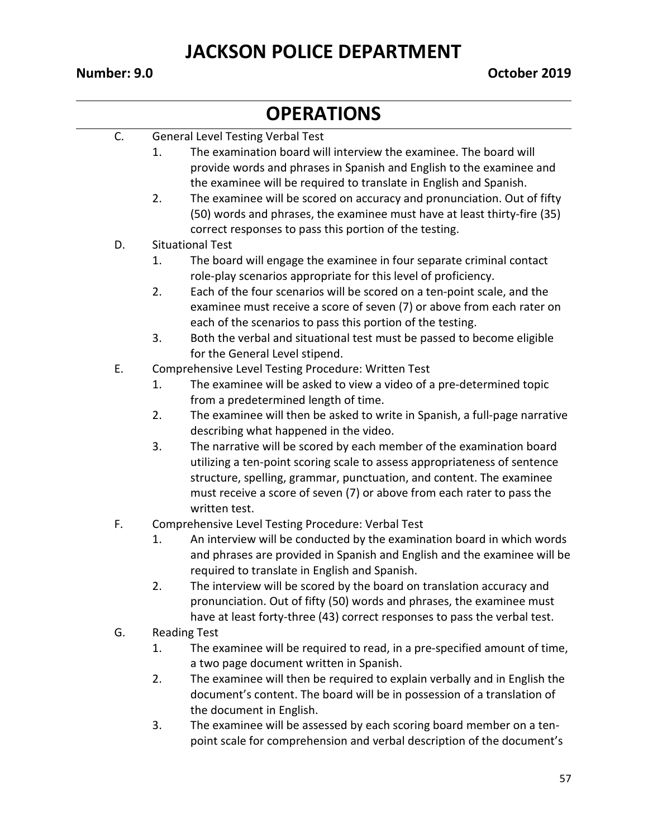#### **Number: 9.0 October 2019**

#### **OPERATIONS**

| C. | <b>General Level Testing Verbal Test</b> |
|----|------------------------------------------|
|----|------------------------------------------|

- 1. The examination board will interview the examinee. The board will provide words and phrases in Spanish and English to the examinee and the examinee will be required to translate in English and Spanish.
- 2. The examinee will be scored on accuracy and pronunciation. Out of fifty (50) words and phrases, the examinee must have at least thirty-fire (35) correct responses to pass this portion of the testing.

#### D. Situational Test

- 1. The board will engage the examinee in four separate criminal contact role-play scenarios appropriate for this level of proficiency.
- 2. Each of the four scenarios will be scored on a ten-point scale, and the examinee must receive a score of seven (7) or above from each rater on each of the scenarios to pass this portion of the testing.
- 3. Both the verbal and situational test must be passed to become eligible for the General Level stipend.
- E. Comprehensive Level Testing Procedure: Written Test
	- 1. The examinee will be asked to view a video of a pre-determined topic from a predetermined length of time.
	- 2. The examinee will then be asked to write in Spanish, a full-page narrative describing what happened in the video.
	- 3. The narrative will be scored by each member of the examination board utilizing a ten-point scoring scale to assess appropriateness of sentence structure, spelling, grammar, punctuation, and content. The examinee must receive a score of seven (7) or above from each rater to pass the written test.
- F. Comprehensive Level Testing Procedure: Verbal Test
	- 1. An interview will be conducted by the examination board in which words and phrases are provided in Spanish and English and the examinee will be required to translate in English and Spanish.
	- 2. The interview will be scored by the board on translation accuracy and pronunciation. Out of fifty (50) words and phrases, the examinee must have at least forty-three (43) correct responses to pass the verbal test.
- G. Reading Test
	- 1. The examinee will be required to read, in a pre-specified amount of time, a two page document written in Spanish.
	- 2. The examinee will then be required to explain verbally and in English the document's content. The board will be in possession of a translation of the document in English.
	- 3. The examinee will be assessed by each scoring board member on a tenpoint scale for comprehension and verbal description of the document's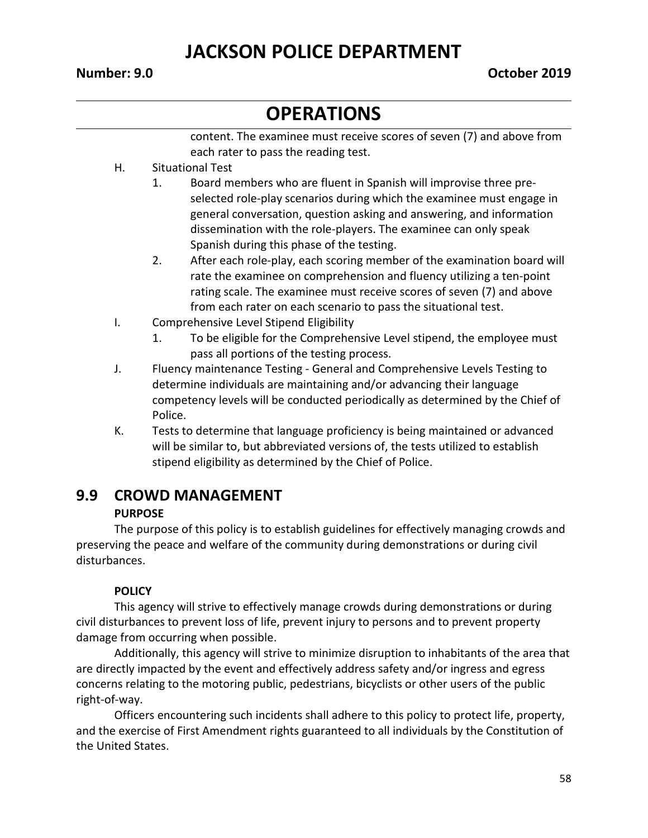# **OPERATIONS**

content. The examinee must receive scores of seven (7) and above from each rater to pass the reading test.

- H. Situational Test
	- 1. Board members who are fluent in Spanish will improvise three preselected role-play scenarios during which the examinee must engage in general conversation, question asking and answering, and information dissemination with the role-players. The examinee can only speak Spanish during this phase of the testing.
	- 2. After each role-play, each scoring member of the examination board will rate the examinee on comprehension and fluency utilizing a ten-point rating scale. The examinee must receive scores of seven (7) and above from each rater on each scenario to pass the situational test.
- I. Comprehensive Level Stipend Eligibility
	- 1. To be eligible for the Comprehensive Level stipend, the employee must pass all portions of the testing process.
- J. Fluency maintenance Testing General and Comprehensive Levels Testing to determine individuals are maintaining and/or advancing their language competency levels will be conducted periodically as determined by the Chief of Police.
- K. Tests to determine that language proficiency is being maintained or advanced will be similar to, but abbreviated versions of, the tests utilized to establish stipend eligibility as determined by the Chief of Police.

#### **9.9 CROWD MANAGEMENT**

#### **PURPOSE**

The purpose of this policy is to establish guidelines for effectively managing crowds and preserving the peace and welfare of the community during demonstrations or during civil disturbances.

#### **POLICY**

This agency will strive to effectively manage crowds during demonstrations or during civil disturbances to prevent loss of life, prevent injury to persons and to prevent property damage from occurring when possible.

Additionally, this agency will strive to minimize disruption to inhabitants of the area that are directly impacted by the event and effectively address safety and/or ingress and egress concerns relating to the motoring public, pedestrians, bicyclists or other users of the public right-of-way.

Officers encountering such incidents shall adhere to this policy to protect life, property, and the exercise of First Amendment rights guaranteed to all individuals by the Constitution of the United States.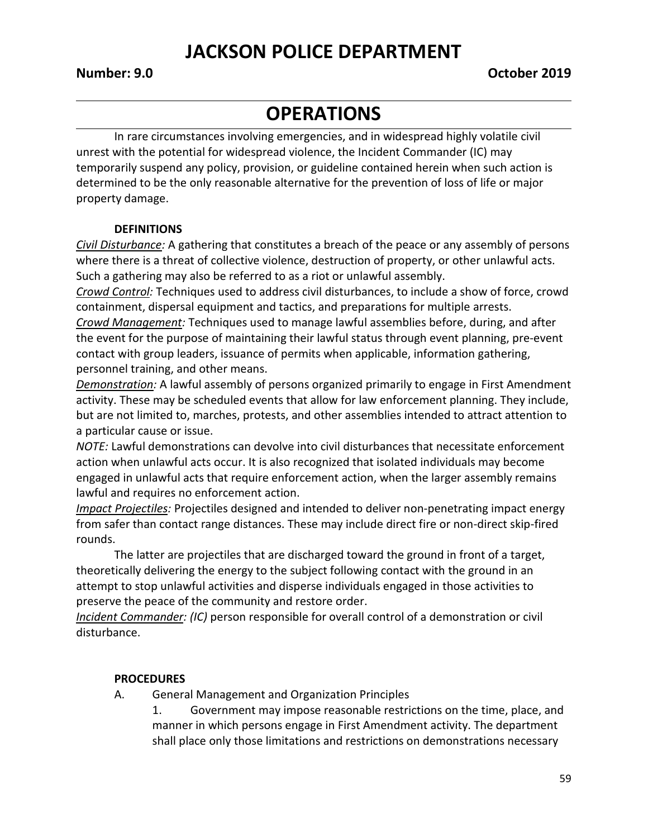#### **OPERATIONS**

In rare circumstances involving emergencies, and in widespread highly volatile civil unrest with the potential for widespread violence, the Incident Commander (IC) may temporarily suspend any policy, provision, or guideline contained herein when such action is determined to be the only reasonable alternative for the prevention of loss of life or major property damage.

#### **DEFINITIONS**

*Civil Disturbance:* A gathering that constitutes a breach of the peace or any assembly of persons where there is a threat of collective violence, destruction of property, or other unlawful acts. Such a gathering may also be referred to as a riot or unlawful assembly.

*Crowd Control:* Techniques used to address civil disturbances, to include a show of force, crowd containment, dispersal equipment and tactics, and preparations for multiple arrests.

*Crowd Management:* Techniques used to manage lawful assemblies before, during, and after the event for the purpose of maintaining their lawful status through event planning, pre-event contact with group leaders, issuance of permits when applicable, information gathering, personnel training, and other means.

*Demonstration:* A lawful assembly of persons organized primarily to engage in First Amendment activity. These may be scheduled events that allow for law enforcement planning. They include, but are not limited to, marches, protests, and other assemblies intended to attract attention to a particular cause or issue.

*NOTE:* Lawful demonstrations can devolve into civil disturbances that necessitate enforcement action when unlawful acts occur. It is also recognized that isolated individuals may become engaged in unlawful acts that require enforcement action, when the larger assembly remains lawful and requires no enforcement action.

*Impact Projectiles:* Projectiles designed and intended to deliver non-penetrating impact energy from safer than contact range distances. These may include direct fire or non-direct skip-fired rounds.

The latter are projectiles that are discharged toward the ground in front of a target, theoretically delivering the energy to the subject following contact with the ground in an attempt to stop unlawful activities and disperse individuals engaged in those activities to preserve the peace of the community and restore order.

*Incident Commander: (IC)* person responsible for overall control of a demonstration or civil disturbance.

#### **PROCEDURES**

- A. General Management and Organization Principles
	- 1. Government may impose reasonable restrictions on the time, place, and manner in which persons engage in First Amendment activity. The department shall place only those limitations and restrictions on demonstrations necessary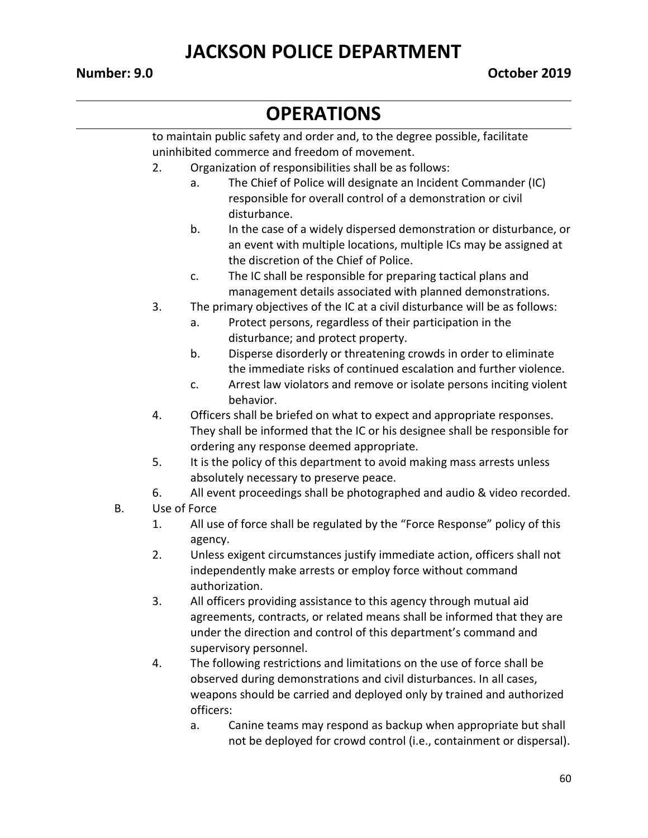# **OPERATIONS**

|    |    | to maintain public safety and order and, to the degree possible, facilitate                                                          |  |  |  |  |
|----|----|--------------------------------------------------------------------------------------------------------------------------------------|--|--|--|--|
|    |    | uninhibited commerce and freedom of movement.                                                                                        |  |  |  |  |
|    | 2. | Organization of responsibilities shall be as follows:                                                                                |  |  |  |  |
|    |    | The Chief of Police will designate an Incident Commander (IC)<br>a.                                                                  |  |  |  |  |
|    |    | responsible for overall control of a demonstration or civil                                                                          |  |  |  |  |
|    |    | disturbance.                                                                                                                         |  |  |  |  |
|    |    | b.<br>In the case of a widely dispersed demonstration or disturbance, or                                                             |  |  |  |  |
|    |    | an event with multiple locations, multiple ICs may be assigned at                                                                    |  |  |  |  |
|    |    | the discretion of the Chief of Police.                                                                                               |  |  |  |  |
|    |    | The IC shall be responsible for preparing tactical plans and<br>c.                                                                   |  |  |  |  |
|    |    | management details associated with planned demonstrations.                                                                           |  |  |  |  |
|    | 3. | The primary objectives of the IC at a civil disturbance will be as follows:                                                          |  |  |  |  |
|    |    | Protect persons, regardless of their participation in the<br>a.                                                                      |  |  |  |  |
|    |    | disturbance; and protect property.<br>b.                                                                                             |  |  |  |  |
|    |    | Disperse disorderly or threatening crowds in order to eliminate<br>the immediate risks of continued escalation and further violence. |  |  |  |  |
|    |    | Arrest law violators and remove or isolate persons inciting violent<br>c.                                                            |  |  |  |  |
|    |    | behavior.                                                                                                                            |  |  |  |  |
|    | 4. | Officers shall be briefed on what to expect and appropriate responses.                                                               |  |  |  |  |
|    |    | They shall be informed that the IC or his designee shall be responsible for                                                          |  |  |  |  |
|    |    | ordering any response deemed appropriate.                                                                                            |  |  |  |  |
|    | 5. | It is the policy of this department to avoid making mass arrests unless                                                              |  |  |  |  |
|    |    | absolutely necessary to preserve peace.                                                                                              |  |  |  |  |
|    | 6. | All event proceedings shall be photographed and audio & video recorded.                                                              |  |  |  |  |
| Β. |    | Use of Force                                                                                                                         |  |  |  |  |
|    | 1. | All use of force shall be regulated by the "Force Response" policy of this                                                           |  |  |  |  |
|    |    | agency.                                                                                                                              |  |  |  |  |
|    | 2. | Unless exigent circumstances justify immediate action, officers shall not                                                            |  |  |  |  |
|    |    | independently make arrests or employ force without command                                                                           |  |  |  |  |
|    |    | authorization.                                                                                                                       |  |  |  |  |
|    | 3. | All officers providing assistance to this agency through mutual aid                                                                  |  |  |  |  |
|    |    | agreements, contracts, or related means shall be informed that they are                                                              |  |  |  |  |
|    |    | under the direction and control of this department's command and                                                                     |  |  |  |  |
|    |    | supervisory personnel.                                                                                                               |  |  |  |  |
|    | 4. | The following restrictions and limitations on the use of force shall be                                                              |  |  |  |  |
|    |    | observed during demonstrations and civil disturbances. In all cases,                                                                 |  |  |  |  |
|    |    | weapons should be carried and deployed only by trained and authorized                                                                |  |  |  |  |
|    |    | officers:                                                                                                                            |  |  |  |  |
|    |    | Canine teams may respond as backup when appropriate but shall<br>a.                                                                  |  |  |  |  |

not be deployed for crowd control (i.e., containment or dispersal).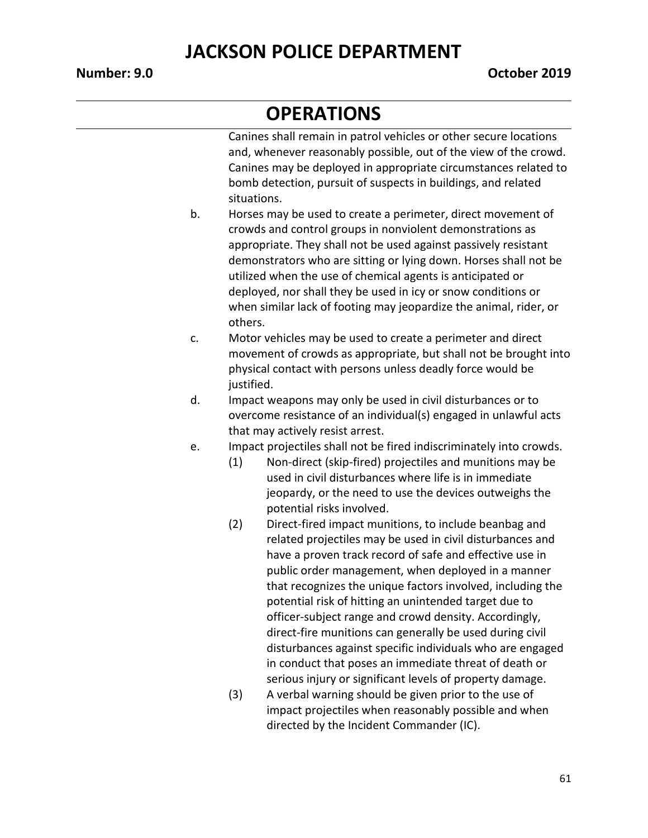#### **OPERATIONS**

Canines shall remain in patrol vehicles or other secure locations and, whenever reasonably possible, out of the view of the crowd. Canines may be deployed in appropriate circumstances related to bomb detection, pursuit of suspects in buildings, and related situations.

- b. Horses may be used to create a perimeter, direct movement of crowds and control groups in nonviolent demonstrations as appropriate. They shall not be used against passively resistant demonstrators who are sitting or lying down. Horses shall not be utilized when the use of chemical agents is anticipated or deployed, nor shall they be used in icy or snow conditions or when similar lack of footing may jeopardize the animal, rider, or others.
- c. Motor vehicles may be used to create a perimeter and direct movement of crowds as appropriate, but shall not be brought into physical contact with persons unless deadly force would be justified.
- d. Impact weapons may only be used in civil disturbances or to overcome resistance of an individual(s) engaged in unlawful acts that may actively resist arrest.
- e. Impact projectiles shall not be fired indiscriminately into crowds.
	- (1) Non-direct (skip-fired) projectiles and munitions may be used in civil disturbances where life is in immediate jeopardy, or the need to use the devices outweighs the potential risks involved.
	- (2) Direct-fired impact munitions, to include beanbag and related projectiles may be used in civil disturbances and have a proven track record of safe and effective use in public order management, when deployed in a manner that recognizes the unique factors involved, including the potential risk of hitting an unintended target due to officer-subject range and crowd density. Accordingly, direct-fire munitions can generally be used during civil disturbances against specific individuals who are engaged in conduct that poses an immediate threat of death or serious injury or significant levels of property damage.
	- (3) A verbal warning should be given prior to the use of impact projectiles when reasonably possible and when directed by the Incident Commander (IC).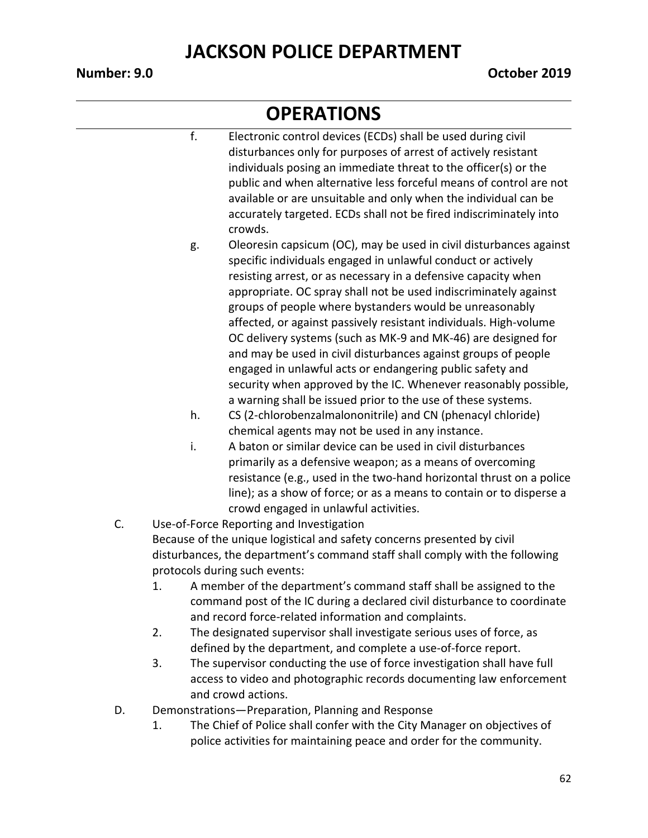- f. Electronic control devices (ECDs) shall be used during civil disturbances only for purposes of arrest of actively resistant individuals posing an immediate threat to the officer(s) or the public and when alternative less forceful means of control are not available or are unsuitable and only when the individual can be accurately targeted. ECDs shall not be fired indiscriminately into crowds.
- g. Oleoresin capsicum (OC), may be used in civil disturbances against specific individuals engaged in unlawful conduct or actively resisting arrest, or as necessary in a defensive capacity when appropriate. OC spray shall not be used indiscriminately against groups of people where bystanders would be unreasonably affected, or against passively resistant individuals. High-volume OC delivery systems (such as MK-9 and MK-46) are designed for and may be used in civil disturbances against groups of people engaged in unlawful acts or endangering public safety and security when approved by the IC. Whenever reasonably possible, a warning shall be issued prior to the use of these systems.
- h. CS (2-chlorobenzalmalononitrile) and CN (phenacyl chloride) chemical agents may not be used in any instance.
- i. A baton or similar device can be used in civil disturbances primarily as a defensive weapon; as a means of overcoming resistance (e.g., used in the two-hand horizontal thrust on a police line); as a show of force; or as a means to contain or to disperse a crowd engaged in unlawful activities.
- C. Use-of-Force Reporting and Investigation Because of the unique logistical and safety concerns presented by civil disturbances, the department's command staff shall comply with the following protocols during such events:
	- 1. A member of the department's command staff shall be assigned to the command post of the IC during a declared civil disturbance to coordinate and record force-related information and complaints.
	- 2. The designated supervisor shall investigate serious uses of force, as defined by the department, and complete a use-of-force report.
	- 3. The supervisor conducting the use of force investigation shall have full access to video and photographic records documenting law enforcement and crowd actions.
- D. Demonstrations—Preparation, Planning and Response
	- 1. The Chief of Police shall confer with the City Manager on objectives of police activities for maintaining peace and order for the community.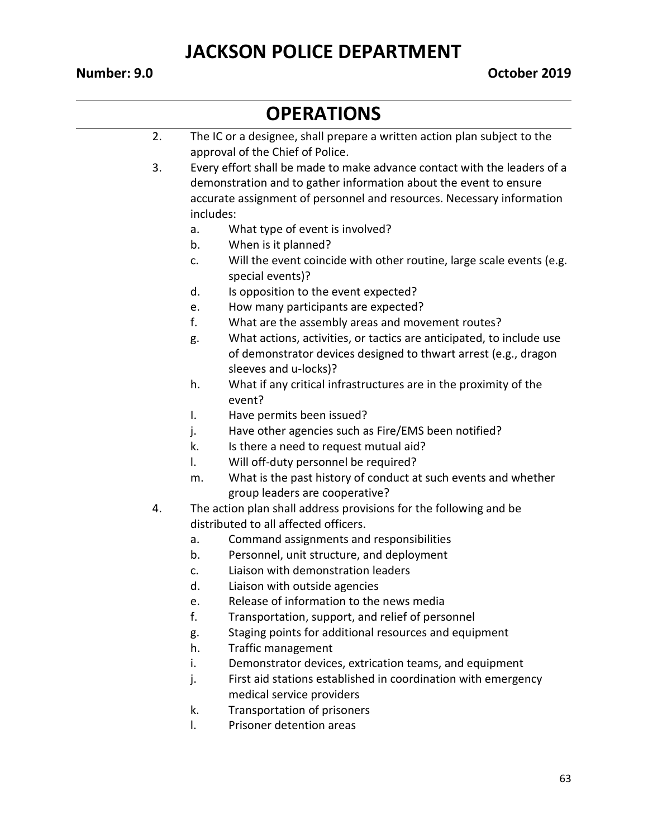- 2. The IC or a designee, shall prepare a written action plan subject to the approval of the Chief of Police. 3. Every effort shall be made to make advance contact with the leaders of a demonstration and to gather information about the event to ensure accurate assignment of personnel and resources. Necessary information includes: a. What type of event is involved? b. When is it planned? c. Will the event coincide with other routine, large scale events (e.g. special events)? d. Is opposition to the event expected? e. How many participants are expected? f. What are the assembly areas and movement routes?
	- g. What actions, activities, or tactics are anticipated, to include use of demonstrator devices designed to thwart arrest (e.g., dragon sleeves and u-locks)?
	- h. What if any critical infrastructures are in the proximity of the event?
	- I. Have permits been issued?
	- j. Have other agencies such as Fire/EMS been notified?
	- k. Is there a need to request mutual aid?
	- l. Will off-duty personnel be required?
	- m. What is the past history of conduct at such events and whether group leaders are cooperative?
- 4. The action plan shall address provisions for the following and be distributed to all affected officers.
	- a. Command assignments and responsibilities
	- b. Personnel, unit structure, and deployment
	- c. Liaison with demonstration leaders
	- d. Liaison with outside agencies
	- e. Release of information to the news media
	- f. Transportation, support, and relief of personnel
	- g. Staging points for additional resources and equipment
	- h. Traffic management
	- i. Demonstrator devices, extrication teams, and equipment
	- j. First aid stations established in coordination with emergency medical service providers
	- k. Transportation of prisoners
	- l. Prisoner detention areas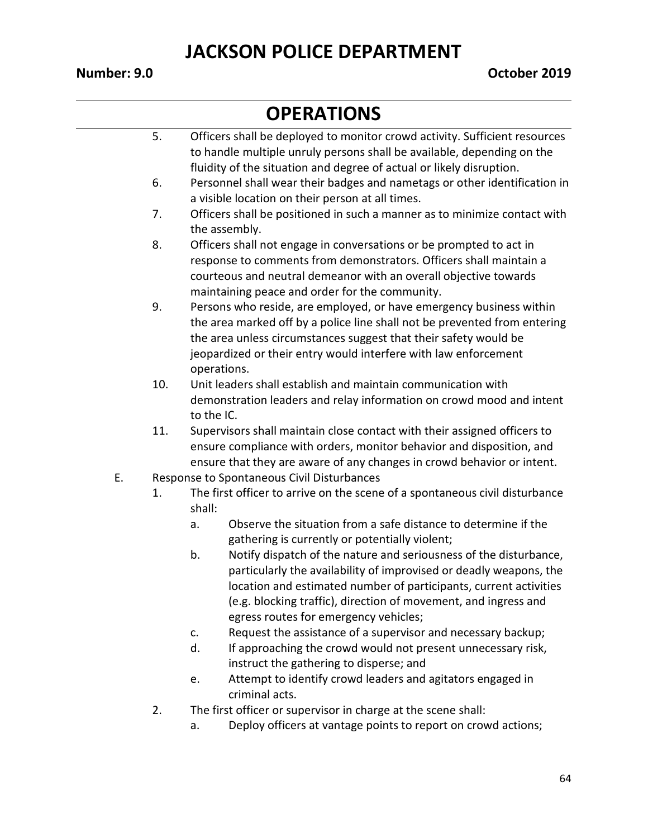#### **OPERATIONS**

|    | 5.  |            | Officers shall be deployed to monitor crowd activity. Sufficient resources  |
|----|-----|------------|-----------------------------------------------------------------------------|
|    |     |            | to handle multiple unruly persons shall be available, depending on the      |
|    |     |            | fluidity of the situation and degree of actual or likely disruption.        |
|    | 6.  |            | Personnel shall wear their badges and nametags or other identification in   |
|    |     |            | a visible location on their person at all times.                            |
|    | 7.  |            | Officers shall be positioned in such a manner as to minimize contact with   |
|    |     |            | the assembly.                                                               |
|    | 8.  |            | Officers shall not engage in conversations or be prompted to act in         |
|    |     |            | response to comments from demonstrators. Officers shall maintain a          |
|    |     |            | courteous and neutral demeanor with an overall objective towards            |
|    |     |            | maintaining peace and order for the community.                              |
|    | 9.  |            | Persons who reside, are employed, or have emergency business within         |
|    |     |            | the area marked off by a police line shall not be prevented from entering   |
|    |     |            | the area unless circumstances suggest that their safety would be            |
|    |     |            | jeopardized or their entry would interfere with law enforcement             |
|    |     |            | operations.                                                                 |
|    | 10. |            | Unit leaders shall establish and maintain communication with                |
|    |     |            | demonstration leaders and relay information on crowd mood and intent        |
|    |     | to the IC. |                                                                             |
|    | 11. |            | Supervisors shall maintain close contact with their assigned officers to    |
|    |     |            | ensure compliance with orders, monitor behavior and disposition, and        |
|    |     |            | ensure that they are aware of any changes in crowd behavior or intent.      |
| E. |     |            | Response to Spontaneous Civil Disturbances                                  |
|    | 1.  |            | The first officer to arrive on the scene of a spontaneous civil disturbance |
|    |     | shall:     |                                                                             |
|    |     | a.         | Observe the situation from a safe distance to determine if the              |
|    |     |            | gathering is currently or potentially violent;                              |
|    |     | b.         | Notify dispatch of the nature and seriousness of the disturbance,           |
|    |     |            | particularly the availability of improvised or deadly weapons, the          |
|    |     |            | location and estimated number of participants, current activities           |
|    |     |            | (e.g. blocking traffic), direction of movement, and ingress and             |
|    |     |            | egress routes for emergency vehicles;                                       |
|    |     | c.         | Request the assistance of a supervisor and necessary backup;                |
|    |     | d.         | If approaching the crowd would not present unnecessary risk,                |
|    |     |            | instruct the gathering to disperse; and                                     |
|    |     | e.         | Attempt to identify crowd leaders and agitators engaged in                  |
|    |     |            | criminal acts.                                                              |
|    | 2.  |            | The first officer or supervisor in charge at the scene shall:               |

a. Deploy officers at vantage points to report on crowd actions;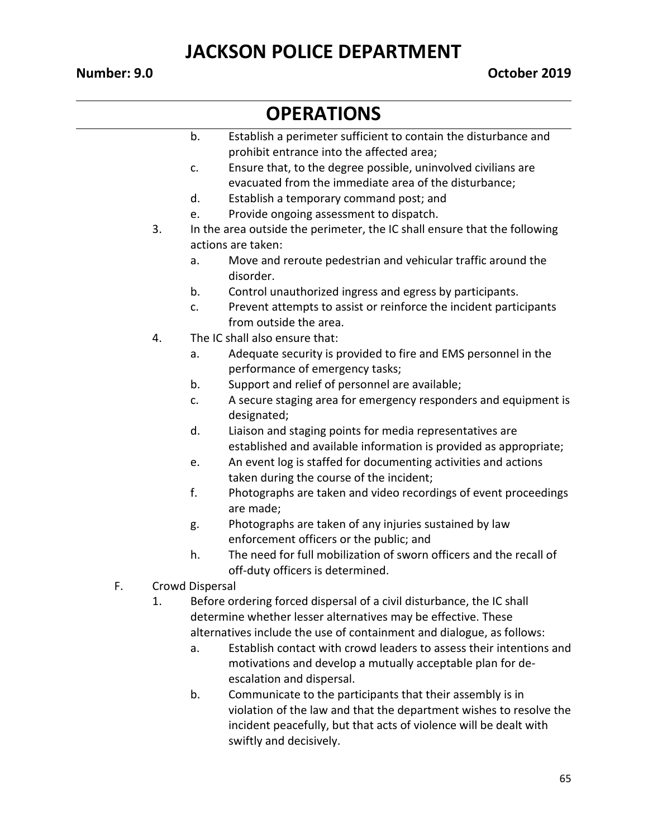- b. Establish a perimeter sufficient to contain the disturbance and prohibit entrance into the affected area;
- c. Ensure that, to the degree possible, uninvolved civilians are evacuated from the immediate area of the disturbance;
- d. Establish a temporary command post; and
- e. Provide ongoing assessment to dispatch.
- 3. In the area outside the perimeter, the IC shall ensure that the following actions are taken:
	- a. Move and reroute pedestrian and vehicular traffic around the disorder.
	- b. Control unauthorized ingress and egress by participants.
	- c. Prevent attempts to assist or reinforce the incident participants from outside the area.
- 4. The IC shall also ensure that:
	- a. Adequate security is provided to fire and EMS personnel in the performance of emergency tasks;
	- b. Support and relief of personnel are available;
	- c. A secure staging area for emergency responders and equipment is designated;
	- d. Liaison and staging points for media representatives are established and available information is provided as appropriate;
	- e. An event log is staffed for documenting activities and actions taken during the course of the incident;
	- f. Photographs are taken and video recordings of event proceedings are made;
	- g. Photographs are taken of any injuries sustained by law enforcement officers or the public; and
	- h. The need for full mobilization of sworn officers and the recall of off-duty officers is determined.
- F. Crowd Dispersal
	- 1. Before ordering forced dispersal of a civil disturbance, the IC shall determine whether lesser alternatives may be effective. These alternatives include the use of containment and dialogue, as follows:
		- a. Establish contact with crowd leaders to assess their intentions and motivations and develop a mutually acceptable plan for deescalation and dispersal.
		- b. Communicate to the participants that their assembly is in violation of the law and that the department wishes to resolve the incident peacefully, but that acts of violence will be dealt with swiftly and decisively.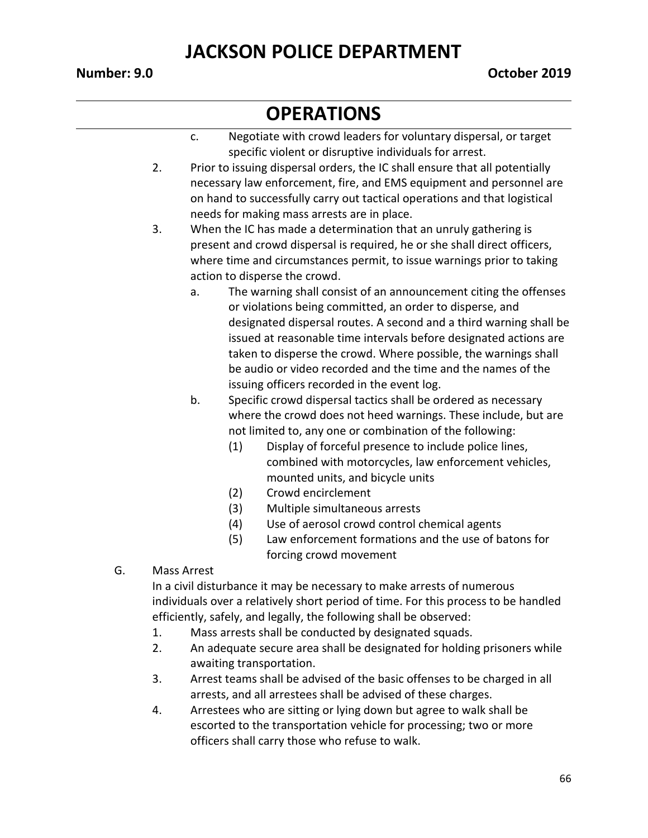### **OPERATIONS**

- c. Negotiate with crowd leaders for voluntary dispersal, or target specific violent or disruptive individuals for arrest.
- 2. Prior to issuing dispersal orders, the IC shall ensure that all potentially necessary law enforcement, fire, and EMS equipment and personnel are on hand to successfully carry out tactical operations and that logistical needs for making mass arrests are in place.

3. When the IC has made a determination that an unruly gathering is present and crowd dispersal is required, he or she shall direct officers, where time and circumstances permit, to issue warnings prior to taking action to disperse the crowd.

- a. The warning shall consist of an announcement citing the offenses or violations being committed, an order to disperse, and designated dispersal routes. A second and a third warning shall be issued at reasonable time intervals before designated actions are taken to disperse the crowd. Where possible, the warnings shall be audio or video recorded and the time and the names of the issuing officers recorded in the event log.
- b. Specific crowd dispersal tactics shall be ordered as necessary where the crowd does not heed warnings. These include, but are not limited to, any one or combination of the following:
	- (1) Display of forceful presence to include police lines, combined with motorcycles, law enforcement vehicles, mounted units, and bicycle units
	- (2) Crowd encirclement
	- (3) Multiple simultaneous arrests
	- (4) Use of aerosol crowd control chemical agents
	- (5) Law enforcement formations and the use of batons for forcing crowd movement
- G. Mass Arrest

In a civil disturbance it may be necessary to make arrests of numerous individuals over a relatively short period of time. For this process to be handled efficiently, safely, and legally, the following shall be observed:

- 1. Mass arrests shall be conducted by designated squads.
- 2. An adequate secure area shall be designated for holding prisoners while awaiting transportation.
- 3. Arrest teams shall be advised of the basic offenses to be charged in all arrests, and all arrestees shall be advised of these charges.
- 4. Arrestees who are sitting or lying down but agree to walk shall be escorted to the transportation vehicle for processing; two or more officers shall carry those who refuse to walk.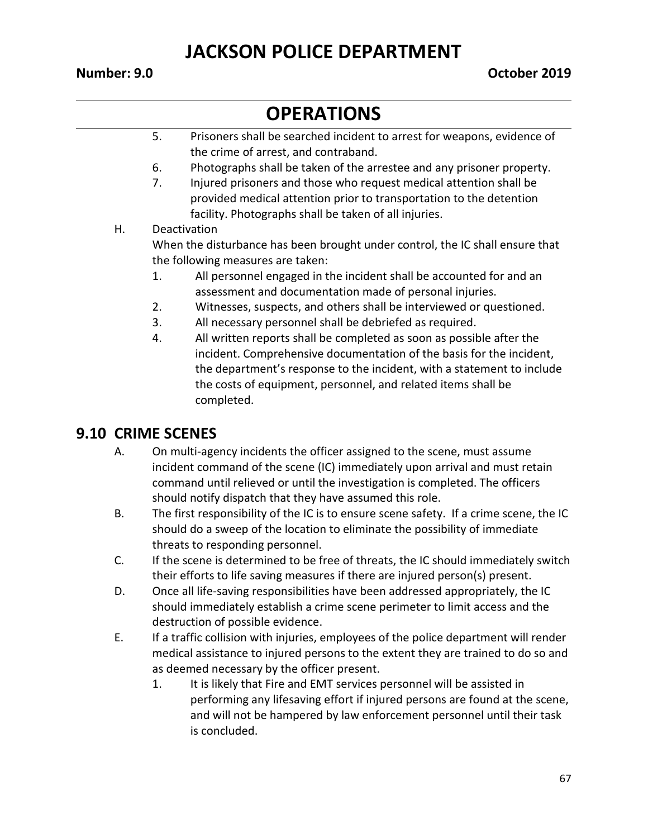# **OPERATIONS**

- 5. Prisoners shall be searched incident to arrest for weapons, evidence of the crime of arrest, and contraband.
- 6. Photographs shall be taken of the arrestee and any prisoner property.
- 7. Injured prisoners and those who request medical attention shall be provided medical attention prior to transportation to the detention facility. Photographs shall be taken of all injuries.
- H. Deactivation When the disturbance has been brought under control, the IC shall ensure that the following measures are taken:
	- 1. All personnel engaged in the incident shall be accounted for and an assessment and documentation made of personal injuries.
	- 2. Witnesses, suspects, and others shall be interviewed or questioned.
	- 3. All necessary personnel shall be debriefed as required.
	- 4. All written reports shall be completed as soon as possible after the incident. Comprehensive documentation of the basis for the incident, the department's response to the incident, with a statement to include the costs of equipment, personnel, and related items shall be completed.

#### **9.10 CRIME SCENES**

- A. On multi-agency incidents the officer assigned to the scene, must assume incident command of the scene (IC) immediately upon arrival and must retain command until relieved or until the investigation is completed. The officers should notify dispatch that they have assumed this role.
- B. The first responsibility of the IC is to ensure scene safety. If a crime scene, the IC should do a sweep of the location to eliminate the possibility of immediate threats to responding personnel.
- C. If the scene is determined to be free of threats, the IC should immediately switch their efforts to life saving measures if there are injured person(s) present.
- D. Once all life-saving responsibilities have been addressed appropriately, the IC should immediately establish a crime scene perimeter to limit access and the destruction of possible evidence.
- E. If a traffic collision with injuries, employees of the police department will render medical assistance to injured persons to the extent they are trained to do so and as deemed necessary by the officer present.
	- 1. It is likely that Fire and EMT services personnel will be assisted in performing any lifesaving effort if injured persons are found at the scene, and will not be hampered by law enforcement personnel until their task is concluded.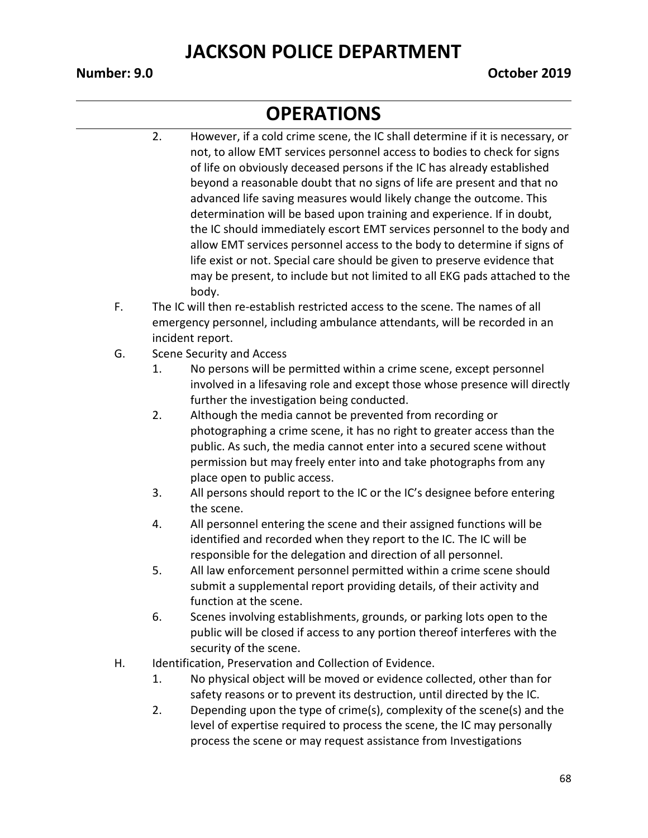- 2. However, if a cold crime scene, the IC shall determine if it is necessary, or not, to allow EMT services personnel access to bodies to check for signs of life on obviously deceased persons if the IC has already established beyond a reasonable doubt that no signs of life are present and that no advanced life saving measures would likely change the outcome. This determination will be based upon training and experience. If in doubt, the IC should immediately escort EMT services personnel to the body and allow EMT services personnel access to the body to determine if signs of life exist or not. Special care should be given to preserve evidence that may be present, to include but not limited to all EKG pads attached to the body.
- F. The IC will then re-establish restricted access to the scene. The names of all emergency personnel, including ambulance attendants, will be recorded in an incident report.
- G. Scene Security and Access
	- 1. No persons will be permitted within a crime scene, except personnel involved in a lifesaving role and except those whose presence will directly further the investigation being conducted.
	- 2. Although the media cannot be prevented from recording or photographing a crime scene, it has no right to greater access than the public. As such, the media cannot enter into a secured scene without permission but may freely enter into and take photographs from any place open to public access.
	- 3. All persons should report to the IC or the IC's designee before entering the scene.
	- 4. All personnel entering the scene and their assigned functions will be identified and recorded when they report to the IC. The IC will be responsible for the delegation and direction of all personnel.
	- 5. All law enforcement personnel permitted within a crime scene should submit a supplemental report providing details, of their activity and function at the scene.
	- 6. Scenes involving establishments, grounds, or parking lots open to the public will be closed if access to any portion thereof interferes with the security of the scene.
- H. Identification, Preservation and Collection of Evidence.
	- 1. No physical object will be moved or evidence collected, other than for safety reasons or to prevent its destruction, until directed by the IC.
	- 2. Depending upon the type of crime(s), complexity of the scene(s) and the level of expertise required to process the scene, the IC may personally process the scene or may request assistance from Investigations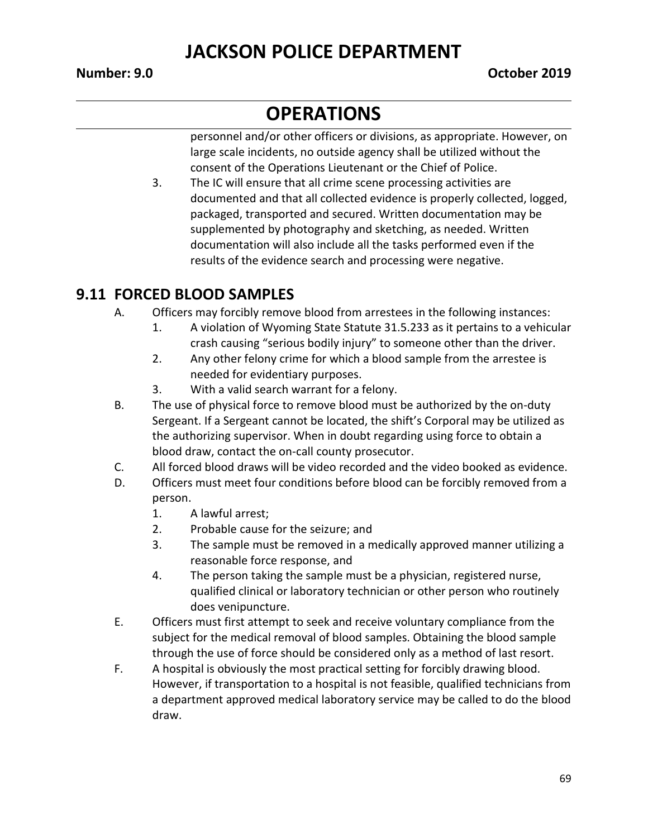# **OPERATIONS**

personnel and/or other officers or divisions, as appropriate. However, on large scale incidents, no outside agency shall be utilized without the consent of the Operations Lieutenant or the Chief of Police.

3. The IC will ensure that all crime scene processing activities are documented and that all collected evidence is properly collected, logged, packaged, transported and secured. Written documentation may be supplemented by photography and sketching, as needed. Written documentation will also include all the tasks performed even if the results of the evidence search and processing were negative.

#### **9.11 FORCED BLOOD SAMPLES**

- A. Officers may forcibly remove blood from arrestees in the following instances:
	- 1. A violation of Wyoming State Statute 31.5.233 as it pertains to a vehicular crash causing "serious bodily injury" to someone other than the driver.
	- 2. Any other felony crime for which a blood sample from the arrestee is needed for evidentiary purposes.
	- 3. With a valid search warrant for a felony.
- B. The use of physical force to remove blood must be authorized by the on-duty Sergeant. If a Sergeant cannot be located, the shift's Corporal may be utilized as the authorizing supervisor. When in doubt regarding using force to obtain a blood draw, contact the on-call county prosecutor.
- C. All forced blood draws will be video recorded and the video booked as evidence.
- D. Officers must meet four conditions before blood can be forcibly removed from a person.
	- 1. A lawful arrest;
	- 2. Probable cause for the seizure; and
	- 3. The sample must be removed in a medically approved manner utilizing a reasonable force response, and
	- 4. The person taking the sample must be a physician, registered nurse, qualified clinical or laboratory technician or other person who routinely does venipuncture.
- E. Officers must first attempt to seek and receive voluntary compliance from the subject for the medical removal of blood samples. Obtaining the blood sample through the use of force should be considered only as a method of last resort.
- F. A hospital is obviously the most practical setting for forcibly drawing blood. However, if transportation to a hospital is not feasible, qualified technicians from a department approved medical laboratory service may be called to do the blood draw.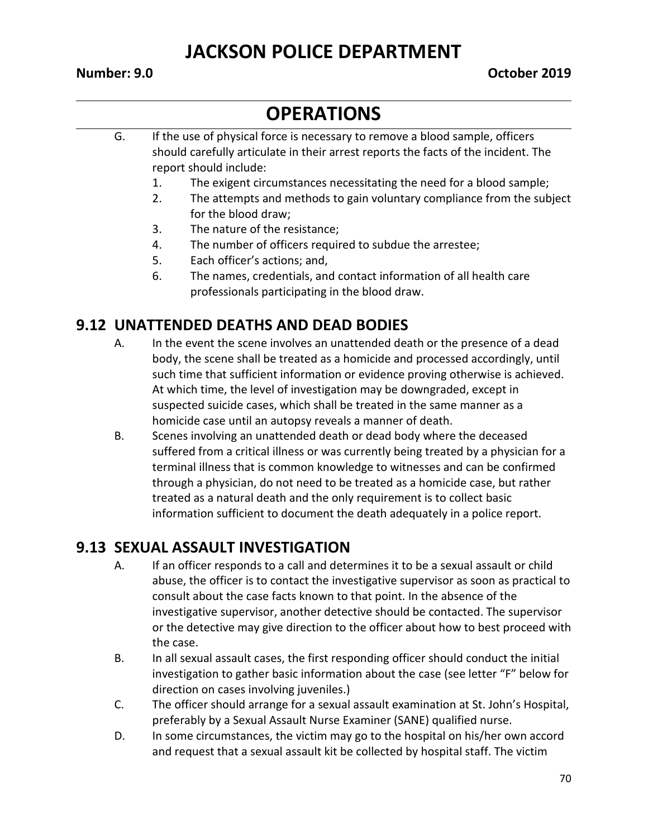# **OPERATIONS**

- G. If the use of physical force is necessary to remove a blood sample, officers should carefully articulate in their arrest reports the facts of the incident. The report should include:
	- 1. The exigent circumstances necessitating the need for a blood sample;
	- 2. The attempts and methods to gain voluntary compliance from the subject for the blood draw;
	- 3. The nature of the resistance;
	- 4. The number of officers required to subdue the arrestee;
	- 5. Each officer's actions; and,
	- 6. The names, credentials, and contact information of all health care professionals participating in the blood draw.

#### **9.12 UNATTENDED DEATHS AND DEAD BODIES**

- A. In the event the scene involves an unattended death or the presence of a dead body, the scene shall be treated as a homicide and processed accordingly, until such time that sufficient information or evidence proving otherwise is achieved. At which time, the level of investigation may be downgraded, except in suspected suicide cases, which shall be treated in the same manner as a homicide case until an autopsy reveals a manner of death.
- B. Scenes involving an unattended death or dead body where the deceased suffered from a critical illness or was currently being treated by a physician for a terminal illness that is common knowledge to witnesses and can be confirmed through a physician, do not need to be treated as a homicide case, but rather treated as a natural death and the only requirement is to collect basic information sufficient to document the death adequately in a police report.

#### **9.13 SEXUAL ASSAULT INVESTIGATION**

- A. If an officer responds to a call and determines it to be a sexual assault or child abuse, the officer is to contact the investigative supervisor as soon as practical to consult about the case facts known to that point. In the absence of the investigative supervisor, another detective should be contacted. The supervisor or the detective may give direction to the officer about how to best proceed with the case.
- B. In all sexual assault cases, the first responding officer should conduct the initial investigation to gather basic information about the case (see letter "F" below for direction on cases involving juveniles.)
- C. The officer should arrange for a sexual assault examination at St. John's Hospital, preferably by a Sexual Assault Nurse Examiner (SANE) qualified nurse.
- D. In some circumstances, the victim may go to the hospital on his/her own accord and request that a sexual assault kit be collected by hospital staff. The victim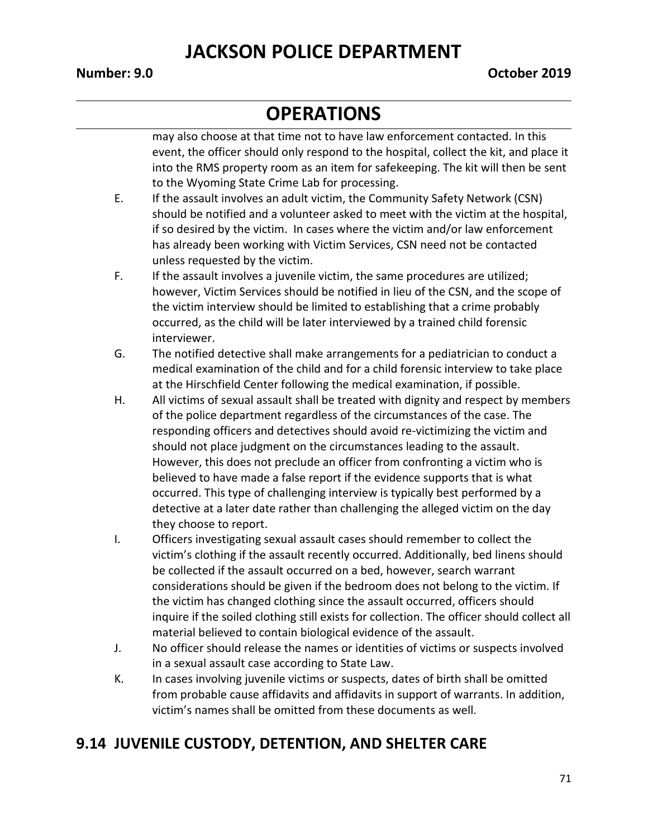# **OPERATIONS**

may also choose at that time not to have law enforcement contacted. In this event, the officer should only respond to the hospital, collect the kit, and place it into the RMS property room as an item for safekeeping. The kit will then be sent to the Wyoming State Crime Lab for processing.

- E. If the assault involves an adult victim, the Community Safety Network (CSN) should be notified and a volunteer asked to meet with the victim at the hospital, if so desired by the victim. In cases where the victim and/or law enforcement has already been working with Victim Services, CSN need not be contacted unless requested by the victim.
- F. If the assault involves a juvenile victim, the same procedures are utilized; however, Victim Services should be notified in lieu of the CSN, and the scope of the victim interview should be limited to establishing that a crime probably occurred, as the child will be later interviewed by a trained child forensic interviewer.
- G. The notified detective shall make arrangements for a pediatrician to conduct a medical examination of the child and for a child forensic interview to take place at the Hirschfield Center following the medical examination, if possible.
- H. All victims of sexual assault shall be treated with dignity and respect by members of the police department regardless of the circumstances of the case. The responding officers and detectives should avoid re-victimizing the victim and should not place judgment on the circumstances leading to the assault. However, this does not preclude an officer from confronting a victim who is believed to have made a false report if the evidence supports that is what occurred. This type of challenging interview is typically best performed by a detective at a later date rather than challenging the alleged victim on the day they choose to report.
- I. Officers investigating sexual assault cases should remember to collect the victim's clothing if the assault recently occurred. Additionally, bed linens should be collected if the assault occurred on a bed, however, search warrant considerations should be given if the bedroom does not belong to the victim. If the victim has changed clothing since the assault occurred, officers should inquire if the soiled clothing still exists for collection. The officer should collect all material believed to contain biological evidence of the assault.
- J. No officer should release the names or identities of victims or suspects involved in a sexual assault case according to State Law.
- K. In cases involving juvenile victims or suspects, dates of birth shall be omitted from probable cause affidavits and affidavits in support of warrants. In addition, victim's names shall be omitted from these documents as well.

#### **9.14 JUVENILE CUSTODY, DETENTION, AND SHELTER CARE**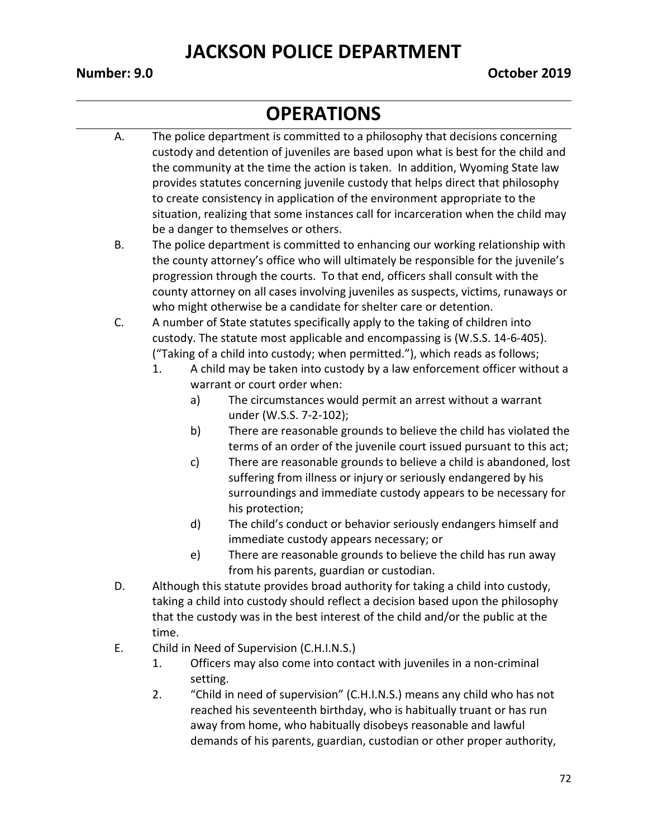- A. The police department is committed to a philosophy that decisions concerning custody and detention of juveniles are based upon what is best for the child and the community at the time the action is taken. In addition, Wyoming State law provides statutes concerning juvenile custody that helps direct that philosophy to create consistency in application of the environment appropriate to the situation, realizing that some instances call for incarceration when the child may be a danger to themselves or others.
- B. The police department is committed to enhancing our working relationship with the county attorney's office who will ultimately be responsible for the juvenile's progression through the courts. To that end, officers shall consult with the county attorney on all cases involving juveniles as suspects, victims, runaways or who might otherwise be a candidate for shelter care or detention.
- C. A number of State statutes specifically apply to the taking of children into custody. The statute most applicable and encompassing is (W.S.S. 14-6-405). ("Taking of a child into custody; when permitted."), which reads as follows;
	- 1. A child may be taken into custody by a law enforcement officer without a warrant or court order when:
		- a) The circumstances would permit an arrest without a warrant under (W.S.S. 7-2-102);
		- b) There are reasonable grounds to believe the child has violated the terms of an order of the juvenile court issued pursuant to this act;
		- c) There are reasonable grounds to believe a child is abandoned, lost suffering from illness or injury or seriously endangered by his surroundings and immediate custody appears to be necessary for his protection;
		- d) The child's conduct or behavior seriously endangers himself and immediate custody appears necessary; or
		- e) There are reasonable grounds to believe the child has run away from his parents, guardian or custodian.
- D. Although this statute provides broad authority for taking a child into custody, taking a child into custody should reflect a decision based upon the philosophy that the custody was in the best interest of the child and/or the public at the time.
- E. Child in Need of Supervision (C.H.I.N.S.)
	- 1. Officers may also come into contact with juveniles in a non-criminal setting.
	- 2. "Child in need of supervision" (C.H.I.N.S.) means any child who has not reached his seventeenth birthday, who is habitually truant or has run away from home, who habitually disobeys reasonable and lawful demands of his parents, guardian, custodian or other proper authority,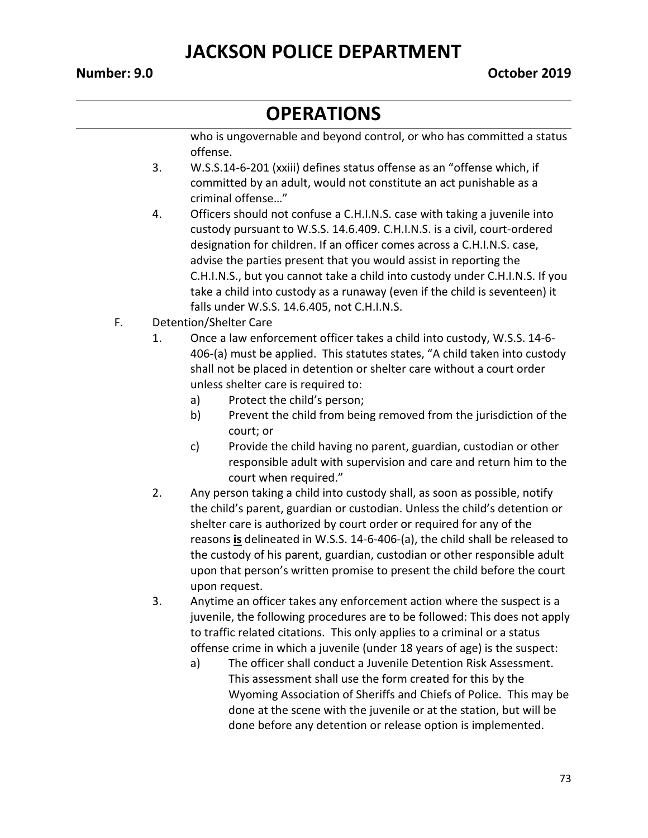### **OPERATIONS**

who is ungovernable and beyond control, or who has committed a status offense.

- 3. W.S.S.14-6-201 (xxiii) defines status offense as an "offense which, if committed by an adult, would not constitute an act punishable as a criminal offense…"
- 4. Officers should not confuse a C.H.I.N.S. case with taking a juvenile into custody pursuant to W.S.S. 14.6.409. C.H.I.N.S. is a civil, court-ordered designation for children. If an officer comes across a C.H.I.N.S. case, advise the parties present that you would assist in reporting the C.H.I.N.S., but you cannot take a child into custody under C.H.I.N.S. If you take a child into custody as a runaway (even if the child is seventeen) it falls under W.S.S. 14.6.405, not C.H.I.N.S.
- F. Detention/Shelter Care
	- 1. Once a law enforcement officer takes a child into custody, W.S.S. 14-6- 406-(a) must be applied. This statutes states, "A child taken into custody shall not be placed in detention or shelter care without a court order unless shelter care is required to:
		- a) Protect the child's person;
		- b) Prevent the child from being removed from the jurisdiction of the court; or
		- c) Provide the child having no parent, guardian, custodian or other responsible adult with supervision and care and return him to the court when required."
	- 2. Any person taking a child into custody shall, as soon as possible, notify the child's parent, guardian or custodian. Unless the child's detention or shelter care is authorized by court order or required for any of the reasons **is** delineated in W.S.S. 14-6-406-(a), the child shall be released to the custody of his parent, guardian, custodian or other responsible adult upon that person's written promise to present the child before the court upon request.
	- 3. Anytime an officer takes any enforcement action where the suspect is a juvenile, the following procedures are to be followed: This does not apply to traffic related citations. This only applies to a criminal or a status offense crime in which a juvenile (under 18 years of age) is the suspect:
		- a) The officer shall conduct a Juvenile Detention Risk Assessment. This assessment shall use the form created for this by the Wyoming Association of Sheriffs and Chiefs of Police. This may be done at the scene with the juvenile or at the station, but will be done before any detention or release option is implemented.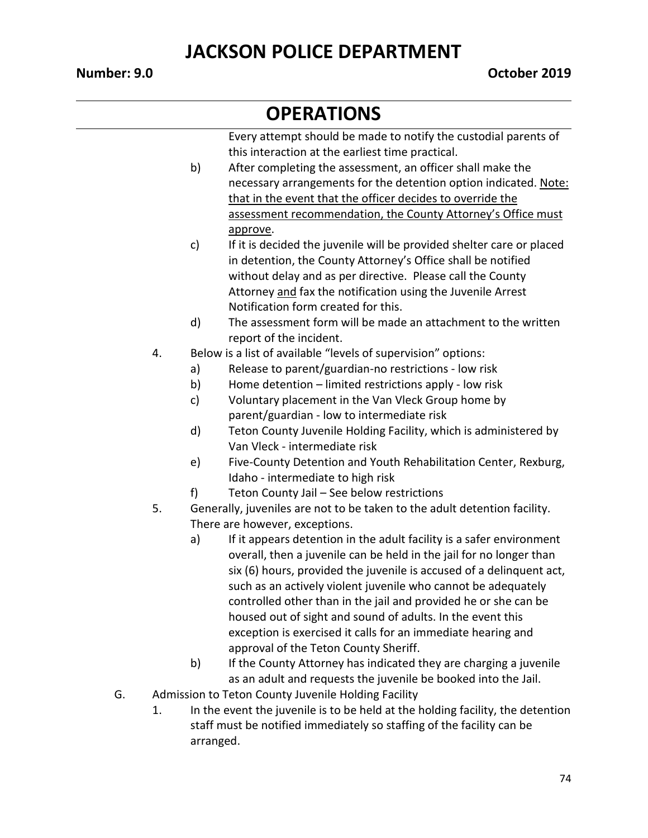#### **OPERATIONS**

Every attempt should be made to notify the custodial parents of this interaction at the earliest time practical.

- b) After completing the assessment, an officer shall make the necessary arrangements for the detention option indicated. Note: that in the event that the officer decides to override the assessment recommendation, the County Attorney's Office must approve.
- c) If it is decided the juvenile will be provided shelter care or placed in detention, the County Attorney's Office shall be notified without delay and as per directive. Please call the County Attorney and fax the notification using the Juvenile Arrest Notification form created for this.
- d) The assessment form will be made an attachment to the written report of the incident.
- 4. Below is a list of available "levels of supervision" options:
	- a) Release to parent/guardian-no restrictions low risk
	- b) Home detention limited restrictions apply low risk
	- c) Voluntary placement in the Van Vleck Group home by parent/guardian - low to intermediate risk
	- d) Teton County Juvenile Holding Facility, which is administered by Van Vleck - intermediate risk
	- e) Five-County Detention and Youth Rehabilitation Center, Rexburg, Idaho - intermediate to high risk
	- f) Teton County Jail See below restrictions
- 5. Generally, juveniles are not to be taken to the adult detention facility. There are however, exceptions.
	- a) If it appears detention in the adult facility is a safer environment overall, then a juvenile can be held in the jail for no longer than six (6) hours, provided the juvenile is accused of a delinquent act, such as an actively violent juvenile who cannot be adequately controlled other than in the jail and provided he or she can be housed out of sight and sound of adults. In the event this exception is exercised it calls for an immediate hearing and approval of the Teton County Sheriff.
	- b) If the County Attorney has indicated they are charging a juvenile as an adult and requests the juvenile be booked into the Jail.
- G. Admission to Teton County Juvenile Holding Facility
	- 1. In the event the juvenile is to be held at the holding facility, the detention staff must be notified immediately so staffing of the facility can be arranged.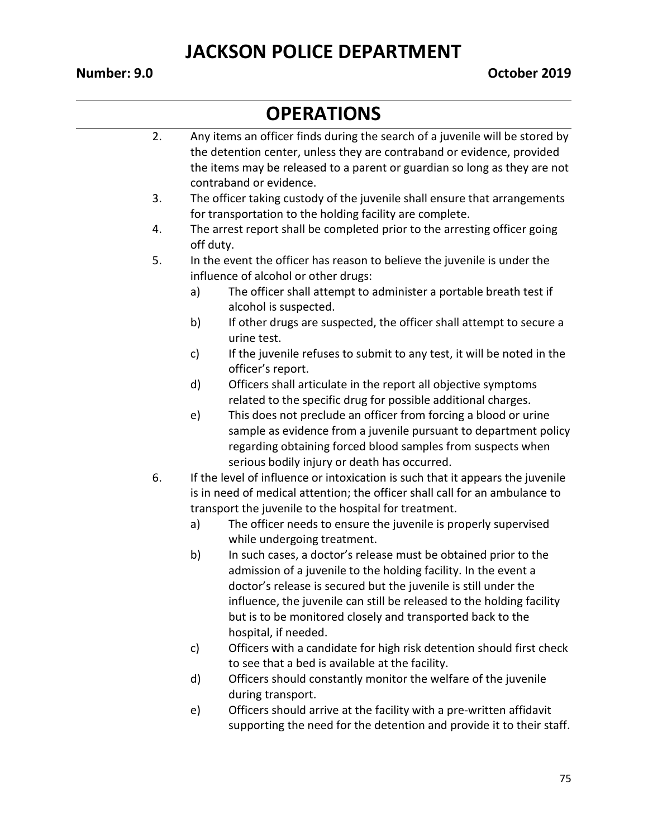| 2. |           | Any items an officer finds during the search of a juvenile will be stored by   |  |  |  |
|----|-----------|--------------------------------------------------------------------------------|--|--|--|
|    |           | the detention center, unless they are contraband or evidence, provided         |  |  |  |
|    |           | the items may be released to a parent or guardian so long as they are not      |  |  |  |
|    |           | contraband or evidence.                                                        |  |  |  |
| 3. |           | The officer taking custody of the juvenile shall ensure that arrangements      |  |  |  |
|    |           | for transportation to the holding facility are complete.                       |  |  |  |
| 4. |           | The arrest report shall be completed prior to the arresting officer going      |  |  |  |
|    | off duty. |                                                                                |  |  |  |
| 5. |           | In the event the officer has reason to believe the juvenile is under the       |  |  |  |
|    |           | influence of alcohol or other drugs:                                           |  |  |  |
|    | a)        | The officer shall attempt to administer a portable breath test if              |  |  |  |
|    |           | alcohol is suspected.                                                          |  |  |  |
|    | b)        | If other drugs are suspected, the officer shall attempt to secure a            |  |  |  |
|    |           | urine test.                                                                    |  |  |  |
|    | c)        | If the juvenile refuses to submit to any test, it will be noted in the         |  |  |  |
|    |           | officer's report.                                                              |  |  |  |
|    | d)        | Officers shall articulate in the report all objective symptoms                 |  |  |  |
|    |           | related to the specific drug for possible additional charges.                  |  |  |  |
|    | e)        | This does not preclude an officer from forcing a blood or urine                |  |  |  |
|    |           | sample as evidence from a juvenile pursuant to department policy               |  |  |  |
|    |           | regarding obtaining forced blood samples from suspects when                    |  |  |  |
|    |           | serious bodily injury or death has occurred.                                   |  |  |  |
| 6. |           | If the level of influence or intoxication is such that it appears the juvenile |  |  |  |
|    |           | is in need of medical attention; the officer shall call for an ambulance to    |  |  |  |
|    |           | transport the juvenile to the hospital for treatment.                          |  |  |  |
|    | a)        | The officer needs to ensure the juvenile is properly supervised                |  |  |  |
|    |           | while undergoing treatment.                                                    |  |  |  |
|    | b)        | In such cases, a doctor's release must be obtained prior to the                |  |  |  |
|    |           | admission of a juvenile to the holding facility. In the event a                |  |  |  |
|    |           | doctor's release is secured but the juvenile is still under the                |  |  |  |
|    |           | influence, the juvenile can still be released to the holding facility          |  |  |  |
|    |           | but is to be monitored closely and transported back to the                     |  |  |  |
|    |           | hospital, if needed.                                                           |  |  |  |
|    | c)        | Officers with a candidate for high risk detention should first check           |  |  |  |
|    |           | to see that a bed is available at the facility.                                |  |  |  |

- d) Officers should constantly monitor the welfare of the juvenile during transport.
- e) Officers should arrive at the facility with a pre-written affidavit supporting the need for the detention and provide it to their staff.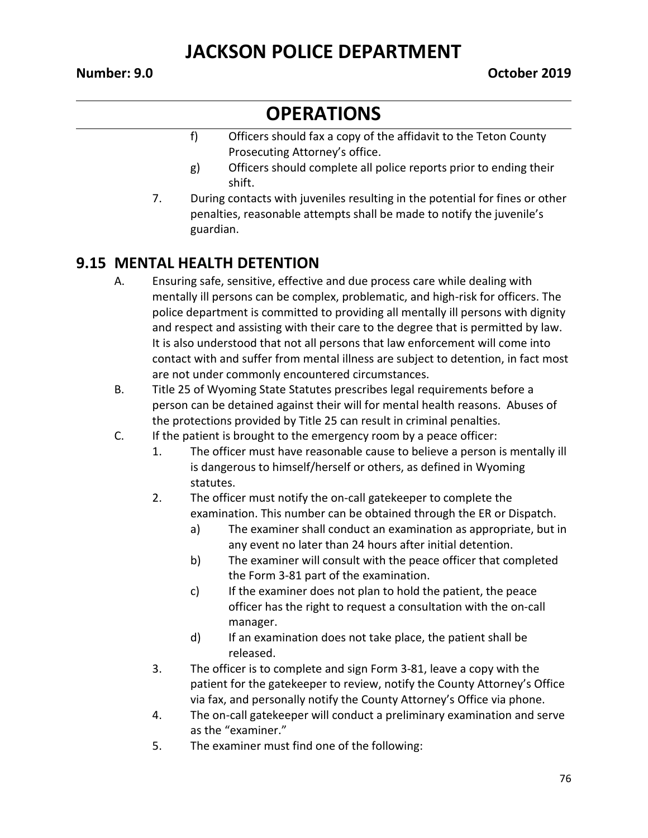# **OPERATIONS**

- f) Officers should fax a copy of the affidavit to the Teton County Prosecuting Attorney's office.
- g) Officers should complete all police reports prior to ending their shift.
- 7. During contacts with juveniles resulting in the potential for fines or other penalties, reasonable attempts shall be made to notify the juvenile's guardian.

#### **9.15 MENTAL HEALTH DETENTION**

- A. Ensuring safe, sensitive, effective and due process care while dealing with mentally ill persons can be complex, problematic, and high-risk for officers. The police department is committed to providing all mentally ill persons with dignity and respect and assisting with their care to the degree that is permitted by law. It is also understood that not all persons that law enforcement will come into contact with and suffer from mental illness are subject to detention, in fact most are not under commonly encountered circumstances.
- B. Title 25 of Wyoming State Statutes prescribes legal requirements before a person can be detained against their will for mental health reasons. Abuses of the protections provided by Title 25 can result in criminal penalties.
- C. If the patient is brought to the emergency room by a peace officer:
	- 1. The officer must have reasonable cause to believe a person is mentally ill is dangerous to himself/herself or others, as defined in Wyoming statutes.
	- 2. The officer must notify the on-call gatekeeper to complete the examination. This number can be obtained through the ER or Dispatch.
		- a) The examiner shall conduct an examination as appropriate, but in any event no later than 24 hours after initial detention.
		- b) The examiner will consult with the peace officer that completed the Form 3-81 part of the examination.
		- c) If the examiner does not plan to hold the patient, the peace officer has the right to request a consultation with the on-call manager.
		- d) If an examination does not take place, the patient shall be released.
	- 3. The officer is to complete and sign Form 3-81, leave a copy with the patient for the gatekeeper to review, notify the County Attorney's Office via fax, and personally notify the County Attorney's Office via phone.
	- 4. The on-call gatekeeper will conduct a preliminary examination and serve as the "examiner."
	- 5. The examiner must find one of the following: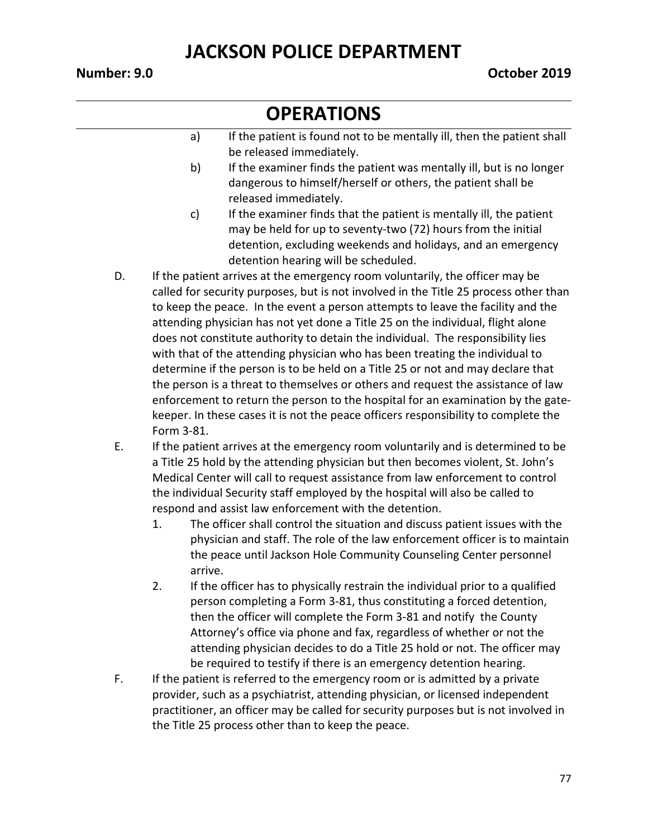- a) If the patient is found not to be mentally ill, then the patient shall be released immediately.
- b) If the examiner finds the patient was mentally ill, but is no longer dangerous to himself/herself or others, the patient shall be released immediately.
- c) If the examiner finds that the patient is mentally ill, the patient may be held for up to seventy-two (72) hours from the initial detention, excluding weekends and holidays, and an emergency detention hearing will be scheduled.
- D. If the patient arrives at the emergency room voluntarily, the officer may be called for security purposes, but is not involved in the Title 25 process other than to keep the peace. In the event a person attempts to leave the facility and the attending physician has not yet done a Title 25 on the individual, flight alone does not constitute authority to detain the individual. The responsibility lies with that of the attending physician who has been treating the individual to determine if the person is to be held on a Title 25 or not and may declare that the person is a threat to themselves or others and request the assistance of law enforcement to return the person to the hospital for an examination by the gatekeeper. In these cases it is not the peace officers responsibility to complete the Form 3-81.
- E. If the patient arrives at the emergency room voluntarily and is determined to be a Title 25 hold by the attending physician but then becomes violent, St. John's Medical Center will call to request assistance from law enforcement to control the individual Security staff employed by the hospital will also be called to respond and assist law enforcement with the detention.
	- 1. The officer shall control the situation and discuss patient issues with the physician and staff. The role of the law enforcement officer is to maintain the peace until Jackson Hole Community Counseling Center personnel arrive.
	- 2. If the officer has to physically restrain the individual prior to a qualified person completing a Form 3-81, thus constituting a forced detention, then the officer will complete the Form 3-81 and notify the County Attorney's office via phone and fax, regardless of whether or not the attending physician decides to do a Title 25 hold or not. The officer may be required to testify if there is an emergency detention hearing.
- F. If the patient is referred to the emergency room or is admitted by a private provider, such as a psychiatrist, attending physician, or licensed independent practitioner, an officer may be called for security purposes but is not involved in the Title 25 process other than to keep the peace.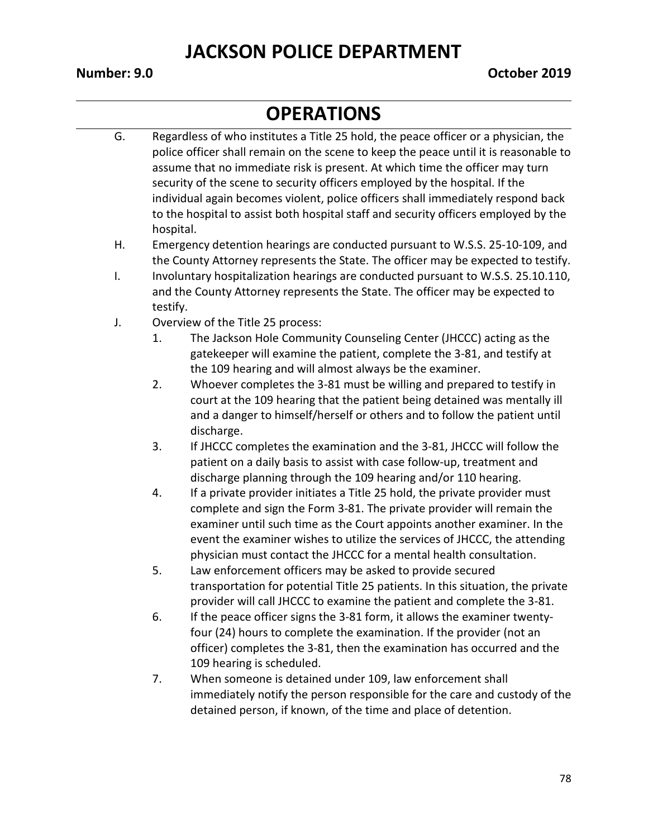- G. Regardless of who institutes a Title 25 hold, the peace officer or a physician, the police officer shall remain on the scene to keep the peace until it is reasonable to assume that no immediate risk is present. At which time the officer may turn security of the scene to security officers employed by the hospital. If the individual again becomes violent, police officers shall immediately respond back to the hospital to assist both hospital staff and security officers employed by the hospital.
- H. Emergency detention hearings are conducted pursuant to W.S.S. 25-10-109, and the County Attorney represents the State. The officer may be expected to testify.
- I. Involuntary hospitalization hearings are conducted pursuant to W.S.S. 25.10.110, and the County Attorney represents the State. The officer may be expected to testify.
- J. Overview of the Title 25 process:
	- 1. The Jackson Hole Community Counseling Center (JHCCC) acting as the gatekeeper will examine the patient, complete the 3-81, and testify at the 109 hearing and will almost always be the examiner.
	- 2. Whoever completes the 3-81 must be willing and prepared to testify in court at the 109 hearing that the patient being detained was mentally ill and a danger to himself/herself or others and to follow the patient until discharge.
	- 3. If JHCCC completes the examination and the 3-81, JHCCC will follow the patient on a daily basis to assist with case follow-up, treatment and discharge planning through the 109 hearing and/or 110 hearing.
	- 4. If a private provider initiates a Title 25 hold, the private provider must complete and sign the Form 3-81. The private provider will remain the examiner until such time as the Court appoints another examiner. In the event the examiner wishes to utilize the services of JHCCC, the attending physician must contact the JHCCC for a mental health consultation.
	- 5. Law enforcement officers may be asked to provide secured transportation for potential Title 25 patients. In this situation, the private provider will call JHCCC to examine the patient and complete the 3-81.
	- 6. If the peace officer signs the 3-81 form, it allows the examiner twentyfour (24) hours to complete the examination. If the provider (not an officer) completes the 3-81, then the examination has occurred and the 109 hearing is scheduled.
	- 7. When someone is detained under 109, law enforcement shall immediately notify the person responsible for the care and custody of the detained person, if known, of the time and place of detention.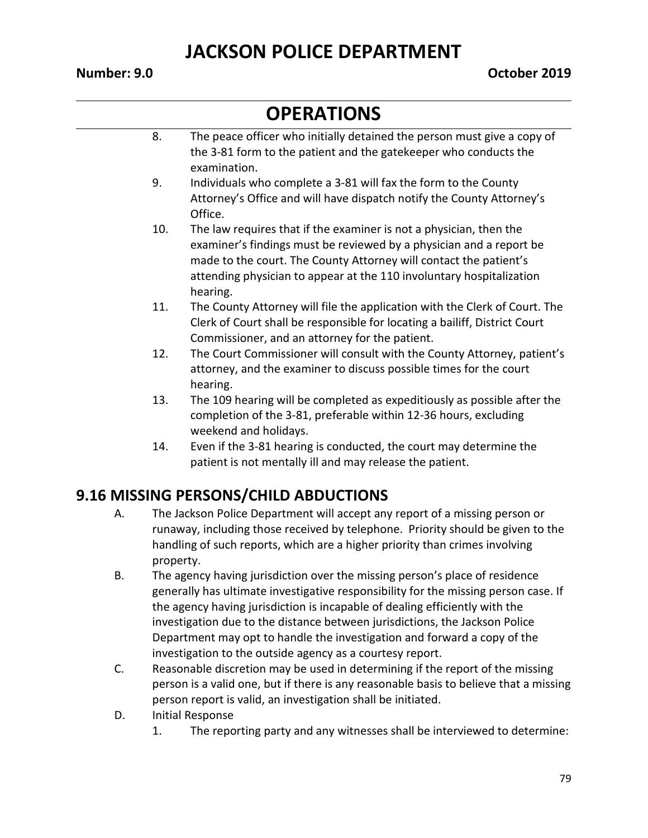#### **OPERATIONS**

- 8. The peace officer who initially detained the person must give a copy of the 3-81 form to the patient and the gatekeeper who conducts the examination.
- 9. Individuals who complete a 3-81 will fax the form to the County Attorney's Office and will have dispatch notify the County Attorney's Office.
- 10. The law requires that if the examiner is not a physician, then the examiner's findings must be reviewed by a physician and a report be made to the court. The County Attorney will contact the patient's attending physician to appear at the 110 involuntary hospitalization hearing.
- 11. The County Attorney will file the application with the Clerk of Court. The Clerk of Court shall be responsible for locating a bailiff, District Court Commissioner, and an attorney for the patient.
- 12. The Court Commissioner will consult with the County Attorney, patient's attorney, and the examiner to discuss possible times for the court hearing.
- 13. The 109 hearing will be completed as expeditiously as possible after the completion of the 3-81, preferable within 12-36 hours, excluding weekend and holidays.
- 14. Even if the 3-81 hearing is conducted, the court may determine the patient is not mentally ill and may release the patient.

#### **9.16 MISSING PERSONS/CHILD ABDUCTIONS**

- A. The Jackson Police Department will accept any report of a missing person or runaway, including those received by telephone. Priority should be given to the handling of such reports, which are a higher priority than crimes involving property.
- B. The agency having jurisdiction over the missing person's place of residence generally has ultimate investigative responsibility for the missing person case. If the agency having jurisdiction is incapable of dealing efficiently with the investigation due to the distance between jurisdictions, the Jackson Police Department may opt to handle the investigation and forward a copy of the investigation to the outside agency as a courtesy report.
- C. Reasonable discretion may be used in determining if the report of the missing person is a valid one, but if there is any reasonable basis to believe that a missing person report is valid, an investigation shall be initiated.
- D. Initial Response
	- 1. The reporting party and any witnesses shall be interviewed to determine: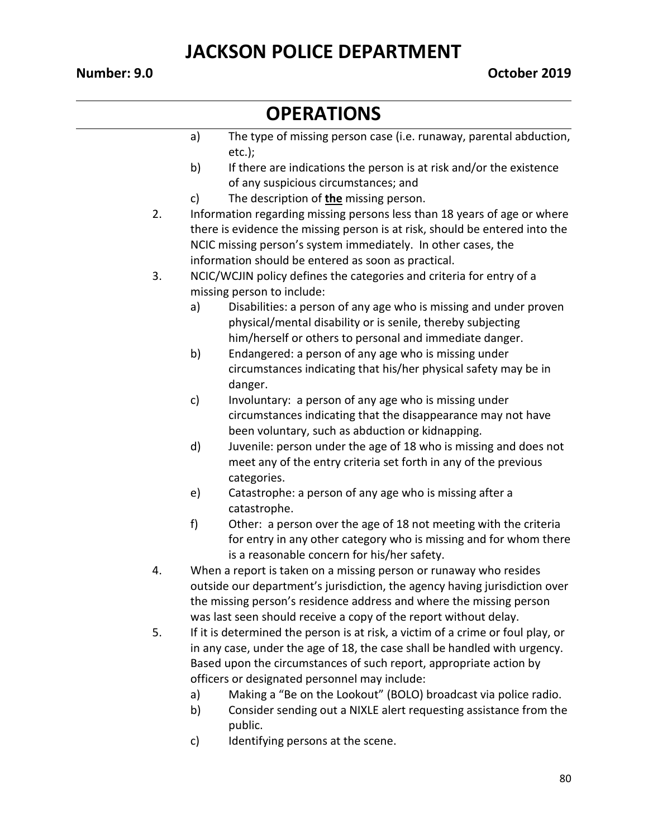- a) The type of missing person case (i.e. runaway, parental abduction, etc.);
- b) If there are indications the person is at risk and/or the existence of any suspicious circumstances; and
- c) The description of **the** missing person.
- 2. Information regarding missing persons less than 18 years of age or where there is evidence the missing person is at risk, should be entered into the NCIC missing person's system immediately. In other cases, the information should be entered as soon as practical.
- 3. NCIC/WCJIN policy defines the categories and criteria for entry of a missing person to include:
	- a) Disabilities: a person of any age who is missing and under proven physical/mental disability or is senile, thereby subjecting him/herself or others to personal and immediate danger.
	- b) Endangered: a person of any age who is missing under circumstances indicating that his/her physical safety may be in danger.
	- c) Involuntary: a person of any age who is missing under circumstances indicating that the disappearance may not have been voluntary, such as abduction or kidnapping.
	- d) Juvenile: person under the age of 18 who is missing and does not meet any of the entry criteria set forth in any of the previous categories.
	- e) Catastrophe: a person of any age who is missing after a catastrophe.
	- f) Other: a person over the age of 18 not meeting with the criteria for entry in any other category who is missing and for whom there is a reasonable concern for his/her safety.
- 4. When a report is taken on a missing person or runaway who resides outside our department's jurisdiction, the agency having jurisdiction over the missing person's residence address and where the missing person was last seen should receive a copy of the report without delay.
- 5. If it is determined the person is at risk, a victim of a crime or foul play, or in any case, under the age of 18, the case shall be handled with urgency. Based upon the circumstances of such report, appropriate action by officers or designated personnel may include:
	- a) Making a "Be on the Lookout" (BOLO) broadcast via police radio.
	- b) Consider sending out a NIXLE alert requesting assistance from the public.
	- c) Identifying persons at the scene.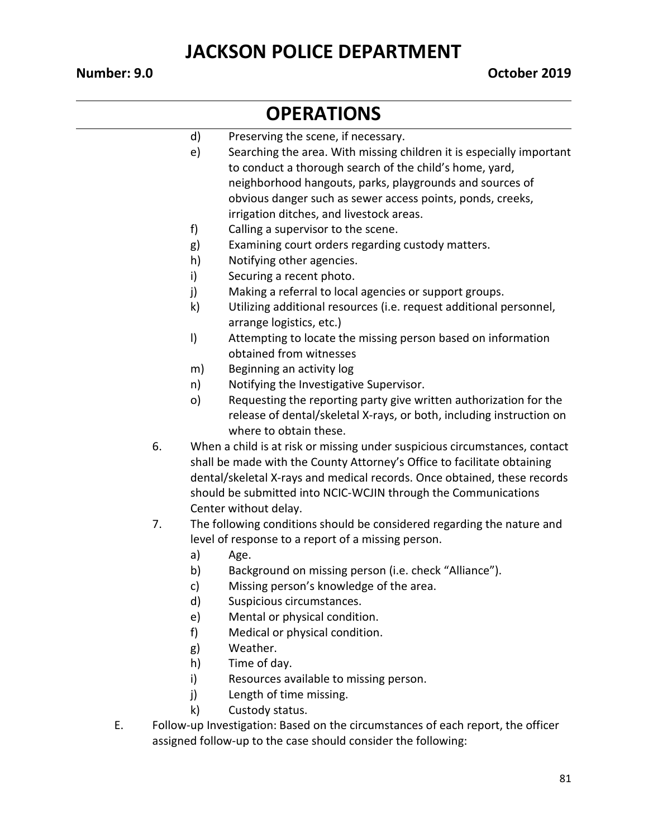- d) Preserving the scene, if necessary.
- e) Searching the area. With missing children it is especially important to conduct a thorough search of the child's home, yard, neighborhood hangouts, parks, playgrounds and sources of obvious danger such as sewer access points, ponds, creeks, irrigation ditches, and livestock areas.
- f) Calling a supervisor to the scene.
- g) Examining court orders regarding custody matters.
- h) Notifying other agencies.
- i) Securing a recent photo.
- j) Making a referral to local agencies or support groups.
- k) Utilizing additional resources (i.e. request additional personnel, arrange logistics, etc.)
- l) Attempting to locate the missing person based on information obtained from witnesses
- m) Beginning an activity log
- n) Notifying the Investigative Supervisor.
- o) Requesting the reporting party give written authorization for the release of dental/skeletal X-rays, or both, including instruction on where to obtain these.
- 6. When a child is at risk or missing under suspicious circumstances, contact shall be made with the County Attorney's Office to facilitate obtaining dental/skeletal X-rays and medical records. Once obtained, these records should be submitted into NCIC-WCJIN through the Communications Center without delay.
- 7. The following conditions should be considered regarding the nature and level of response to a report of a missing person.
	- a) Age.
	- b) Background on missing person (i.e. check "Alliance").
	- c) Missing person's knowledge of the area.
	- d) Suspicious circumstances.
	- e) Mental or physical condition.
	- f) Medical or physical condition.
	- g) Weather.
	- h) Time of day.
	- i) Resources available to missing person.
	- j) Length of time missing.
	- k) Custody status.
- E. Follow-up Investigation: Based on the circumstances of each report, the officer assigned follow-up to the case should consider the following: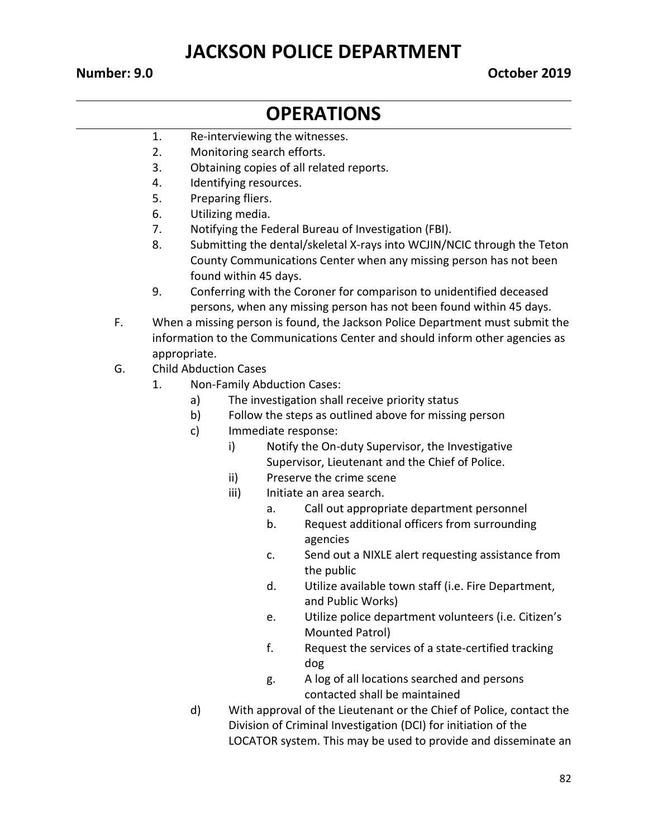#### **Number: 9.0 October 2019**

- 1. Re-interviewing the witnesses.
- 2. Monitoring search efforts.
- 3. Obtaining copies of all related reports.
- 4. Identifying resources.
- 5. Preparing fliers.
- 6. Utilizing media.
- 7. Notifying the Federal Bureau of Investigation (FBI).
- 8. Submitting the dental/skeletal X-rays into WCJIN/NCIC through the Teton County Communications Center when any missing person has not been found within 45 days.
- 9. Conferring with the Coroner for comparison to unidentified deceased persons, when any missing person has not been found within 45 days.
- F. When a missing person is found, the Jackson Police Department must submit the information to the Communications Center and should inform other agencies as appropriate.
- G. Child Abduction Cases
	- 1. Non-Family Abduction Cases:
		- a) The investigation shall receive priority status
		- b) Follow the steps as outlined above for missing person
		- c) Immediate response:
			- i) Notify the On-duty Supervisor, the Investigative Supervisor, Lieutenant and the Chief of Police.
			- ii) Preserve the crime scene
			- iii) Initiate an area search.
				- a. Call out appropriate department personnel
				- b. Request additional officers from surrounding agencies
				- c. Send out a NIXLE alert requesting assistance from the public
				- d. Utilize available town staff (i.e. Fire Department, and Public Works)
				- e. Utilize police department volunteers (i.e. Citizen's Mounted Patrol)
				- f. Request the services of a state-certified tracking dog
				- g. A log of all locations searched and persons contacted shall be maintained
		- d) With approval of the Lieutenant or the Chief of Police, contact the Division of Criminal Investigation (DCI) for initiation of the LOCATOR system. This may be used to provide and disseminate an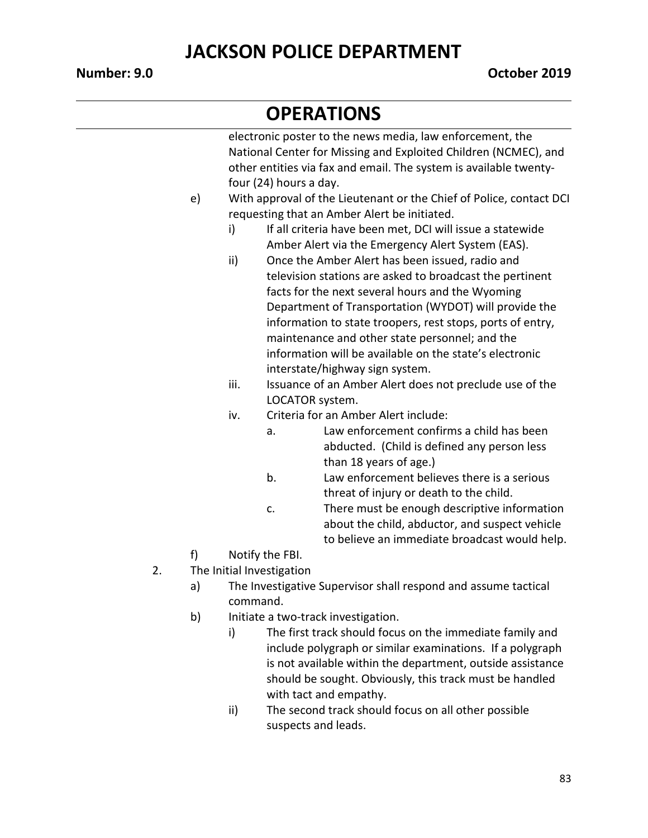#### **OPERATIONS**

electronic poster to the news media, law enforcement, the National Center for Missing and Exploited Children (NCMEC), and other entities via fax and email. The system is available twentyfour (24) hours a day. e) With approval of the Lieutenant or the Chief of Police, contact DCI requesting that an Amber Alert be initiated. i) If all criteria have been met, DCI will issue a statewide Amber Alert via the Emergency Alert System (EAS). ii) Once the Amber Alert has been issued, radio and television stations are asked to broadcast the pertinent facts for the next several hours and the Wyoming Department of Transportation (WYDOT) will provide the information to state troopers, rest stops, ports of entry, maintenance and other state personnel; and the information will be available on the state's electronic interstate/highway sign system. iii. Issuance of an Amber Alert does not preclude use of the LOCATOR system. iv. Criteria for an Amber Alert include: a. Law enforcement confirms a child has been abducted. (Child is defined any person less than 18 years of age.) b. Law enforcement believes there is a serious threat of injury or death to the child. c. There must be enough descriptive information about the child, abductor, and suspect vehicle to believe an immediate broadcast would help. f) Notify the FBI. 2. The Initial Investigation a) The Investigative Supervisor shall respond and assume tactical command. b) Initiate a two-track investigation. i) The first track should focus on the immediate family and include polygraph or similar examinations. If a polygraph is not available within the department, outside assistance

> with tact and empathy. ii) The second track should focus on all other possible suspects and leads.

should be sought. Obviously, this track must be handled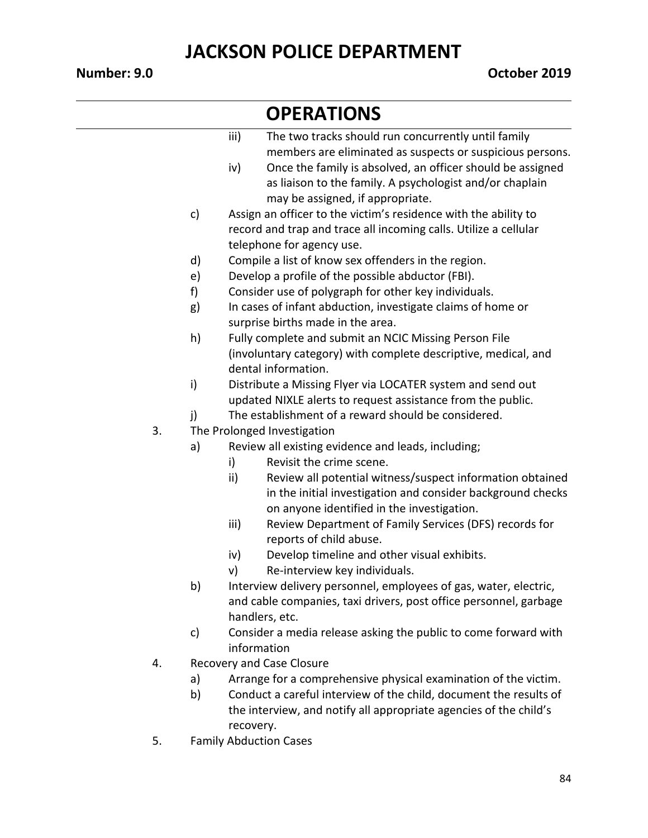|    |    | iii)<br>The two tracks should run concurrently until family                                                                                                                   |
|----|----|-------------------------------------------------------------------------------------------------------------------------------------------------------------------------------|
|    |    | members are eliminated as suspects or suspicious persons.                                                                                                                     |
|    |    | iv)<br>Once the family is absolved, an officer should be assigned<br>as liaison to the family. A psychologist and/or chaplain<br>may be assigned, if appropriate.             |
|    | c) | Assign an officer to the victim's residence with the ability to                                                                                                               |
|    |    | record and trap and trace all incoming calls. Utilize a cellular                                                                                                              |
|    |    | telephone for agency use.                                                                                                                                                     |
|    | d) | Compile a list of know sex offenders in the region.                                                                                                                           |
|    | e) | Develop a profile of the possible abductor (FBI).                                                                                                                             |
|    | f) | Consider use of polygraph for other key individuals.                                                                                                                          |
|    | g) | In cases of infant abduction, investigate claims of home or                                                                                                                   |
|    |    | surprise births made in the area.                                                                                                                                             |
|    | h) | Fully complete and submit an NCIC Missing Person File                                                                                                                         |
|    |    | (involuntary category) with complete descriptive, medical, and                                                                                                                |
|    |    | dental information.                                                                                                                                                           |
|    | i) | Distribute a Missing Flyer via LOCATER system and send out                                                                                                                    |
|    |    | updated NIXLE alerts to request assistance from the public.                                                                                                                   |
|    | j) | The establishment of a reward should be considered.                                                                                                                           |
| 3. |    | The Prolonged Investigation                                                                                                                                                   |
|    | a) | Review all existing evidence and leads, including;                                                                                                                            |
|    |    | Revisit the crime scene.<br>i)                                                                                                                                                |
|    |    | ii)<br>Review all potential witness/suspect information obtained<br>in the initial investigation and consider background checks<br>on anyone identified in the investigation. |
|    |    | iii)<br>Review Department of Family Services (DFS) records for<br>reports of child abuse.                                                                                     |
|    |    | Develop timeline and other visual exhibits.<br>iv)                                                                                                                            |
|    |    | Re-interview key individuals.<br>v)                                                                                                                                           |
|    | b) | Interview delivery personnel, employees of gas, water, electric,                                                                                                              |
|    |    | and cable companies, taxi drivers, post office personnel, garbage                                                                                                             |
|    |    | handlers, etc.                                                                                                                                                                |
|    | c) | Consider a media release asking the public to come forward with                                                                                                               |
|    |    | information                                                                                                                                                                   |
| 4. |    | <b>Recovery and Case Closure</b>                                                                                                                                              |

- a) Arrange for a comprehensive physical examination of the victim.
- b) Conduct a careful interview of the child, document the results of the interview, and notify all appropriate agencies of the child's recovery.
- 5. Family Abduction Cases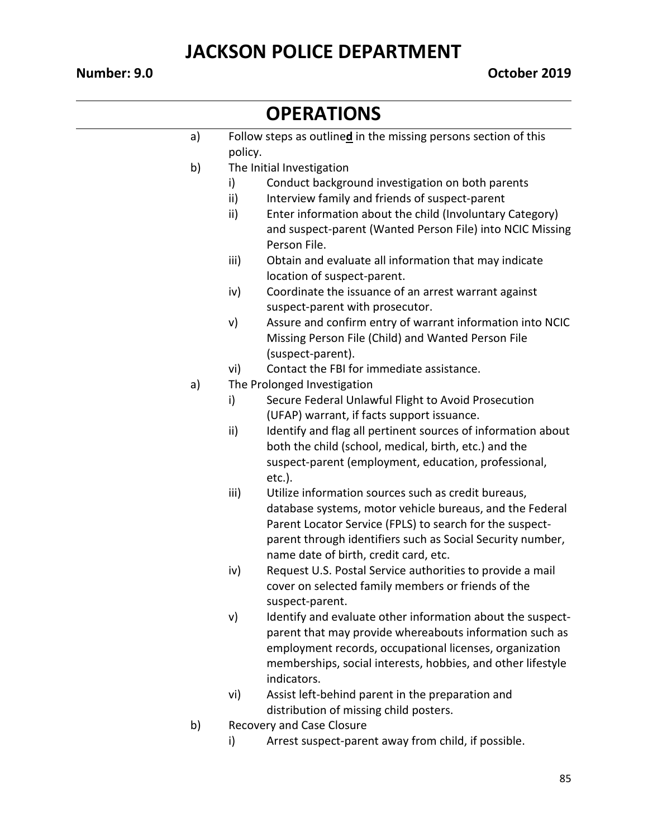#### **Number: 9.0 October 2019**

#### **OPERATIONS** a) Follow steps as outline**d** in the missing persons section of this policy. b) The Initial Investigation i) Conduct background investigation on both parents ii) Interview family and friends of suspect-parent ii) Enter information about the child (Involuntary Category) and suspect-parent (Wanted Person File) into NCIC Missing Person File. iii) Obtain and evaluate all information that may indicate location of suspect-parent.

- iv) Coordinate the issuance of an arrest warrant against suspect-parent with prosecutor.
- v) Assure and confirm entry of warrant information into NCIC Missing Person File (Child) and Wanted Person File (suspect-parent).
- vi) Contact the FBI for immediate assistance.
- a) The Prolonged Investigation
	- i) Secure Federal Unlawful Flight to Avoid Prosecution (UFAP) warrant, if facts support issuance.
	- ii) Identify and flag all pertinent sources of information about both the child (school, medical, birth, etc.) and the suspect-parent (employment, education, professional, etc.).
	- iii) Utilize information sources such as credit bureaus, database systems, motor vehicle bureaus, and the Federal Parent Locator Service (FPLS) to search for the suspectparent through identifiers such as Social Security number, name date of birth, credit card, etc.
	- iv) Request U.S. Postal Service authorities to provide a mail cover on selected family members or friends of the suspect-parent.
	- v) Identify and evaluate other information about the suspectparent that may provide whereabouts information such as employment records, occupational licenses, organization memberships, social interests, hobbies, and other lifestyle indicators.
	- vi) Assist left-behind parent in the preparation and distribution of missing child posters.
- b) Recovery and Case Closure
	- i) Arrest suspect-parent away from child, if possible.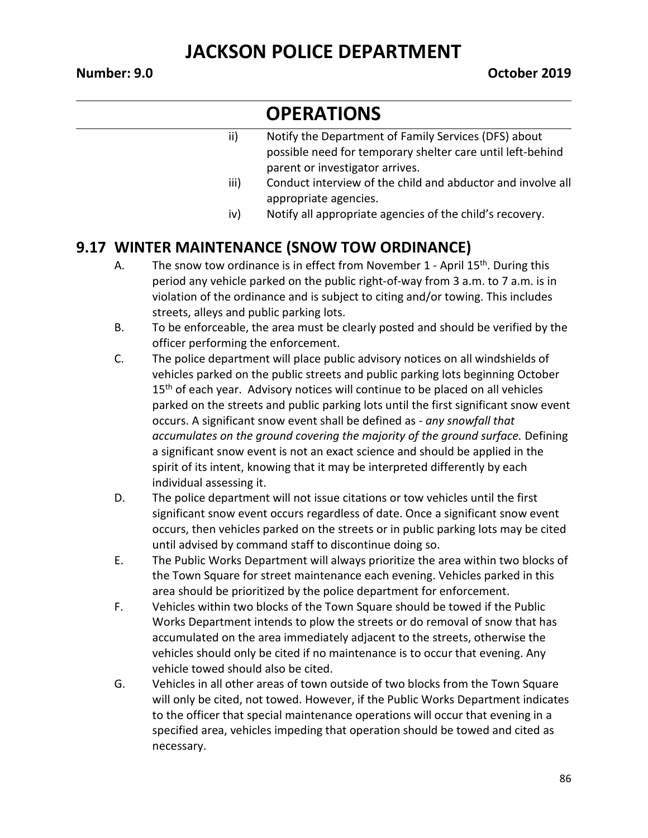### **OPERATIONS**

| ii) | Notify the Department of Family Services (DFS) about       |
|-----|------------------------------------------------------------|
|     | possible need for temporary shelter care until left-behind |
|     | parent or investigator arrives.                            |

- iii) Conduct interview of the child and abductor and involve all appropriate agencies.
- iv) Notify all appropriate agencies of the child's recovery.

#### **9.17 WINTER MAINTENANCE (SNOW TOW ORDINANCE)**

- A. The snow tow ordinance is in effect from November  $1$  April  $15<sup>th</sup>$ . During this period any vehicle parked on the public right-of-way from 3 a.m. to 7 a.m. is in violation of the ordinance and is subject to citing and/or towing. This includes streets, alleys and public parking lots.
- B. To be enforceable, the area must be clearly posted and should be verified by the officer performing the enforcement.
- C. The police department will place public advisory notices on all windshields of vehicles parked on the public streets and public parking lots beginning October 15<sup>th</sup> of each year. Advisory notices will continue to be placed on all vehicles parked on the streets and public parking lots until the first significant snow event occurs. A significant snow event shall be defined as - *any snowfall that accumulates on the ground covering the majority of the ground surface.* Defining a significant snow event is not an exact science and should be applied in the spirit of its intent, knowing that it may be interpreted differently by each individual assessing it.
- D. The police department will not issue citations or tow vehicles until the first significant snow event occurs regardless of date. Once a significant snow event occurs, then vehicles parked on the streets or in public parking lots may be cited until advised by command staff to discontinue doing so.
- E. The Public Works Department will always prioritize the area within two blocks of the Town Square for street maintenance each evening. Vehicles parked in this area should be prioritized by the police department for enforcement.
- F. Vehicles within two blocks of the Town Square should be towed if the Public Works Department intends to plow the streets or do removal of snow that has accumulated on the area immediately adjacent to the streets, otherwise the vehicles should only be cited if no maintenance is to occur that evening. Any vehicle towed should also be cited.
- G. Vehicles in all other areas of town outside of two blocks from the Town Square will only be cited, not towed. However, if the Public Works Department indicates to the officer that special maintenance operations will occur that evening in a specified area, vehicles impeding that operation should be towed and cited as necessary.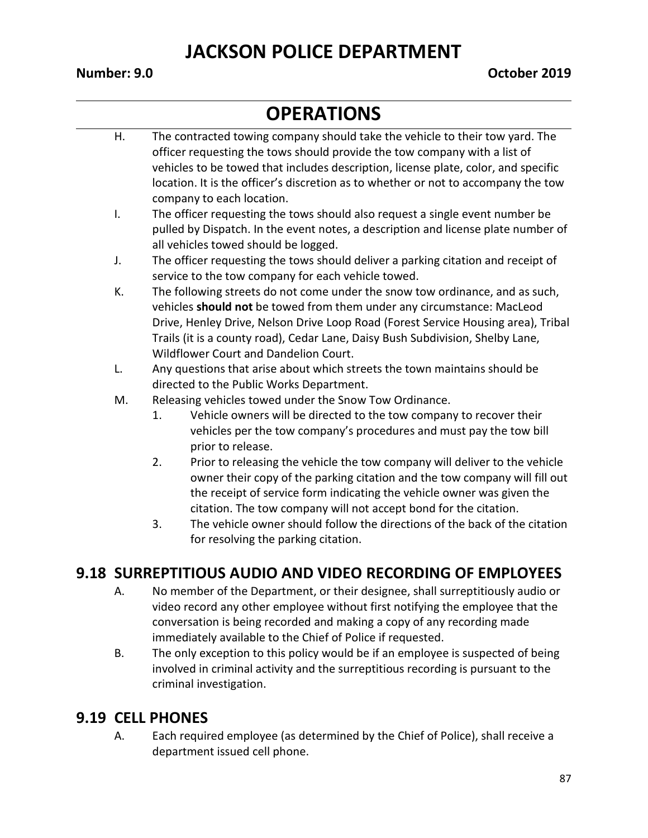## **OPERATIONS**

- H. The contracted towing company should take the vehicle to their tow yard. The officer requesting the tows should provide the tow company with a list of vehicles to be towed that includes description, license plate, color, and specific location. It is the officer's discretion as to whether or not to accompany the tow company to each location.
- I. The officer requesting the tows should also request a single event number be pulled by Dispatch. In the event notes, a description and license plate number of all vehicles towed should be logged.
- J. The officer requesting the tows should deliver a parking citation and receipt of service to the tow company for each vehicle towed.
- K. The following streets do not come under the snow tow ordinance, and as such, vehicles **should not** be towed from them under any circumstance: MacLeod Drive, Henley Drive, Nelson Drive Loop Road (Forest Service Housing area), Tribal Trails (it is a county road), Cedar Lane, Daisy Bush Subdivision, Shelby Lane, Wildflower Court and Dandelion Court.
- L. Any questions that arise about which streets the town maintains should be directed to the Public Works Department.
- M. Releasing vehicles towed under the Snow Tow Ordinance.
	- 1. Vehicle owners will be directed to the tow company to recover their vehicles per the tow company's procedures and must pay the tow bill prior to release.
	- 2. Prior to releasing the vehicle the tow company will deliver to the vehicle owner their copy of the parking citation and the tow company will fill out the receipt of service form indicating the vehicle owner was given the citation. The tow company will not accept bond for the citation.
	- 3. The vehicle owner should follow the directions of the back of the citation for resolving the parking citation.

#### **9.18 SURREPTITIOUS AUDIO AND VIDEO RECORDING OF EMPLOYEES**

- A. No member of the Department, or their designee, shall surreptitiously audio or video record any other employee without first notifying the employee that the conversation is being recorded and making a copy of any recording made immediately available to the Chief of Police if requested.
- B. The only exception to this policy would be if an employee is suspected of being involved in criminal activity and the surreptitious recording is pursuant to the criminal investigation.

#### **9.19 CELL PHONES**

A. Each required employee (as determined by the Chief of Police), shall receive a department issued cell phone.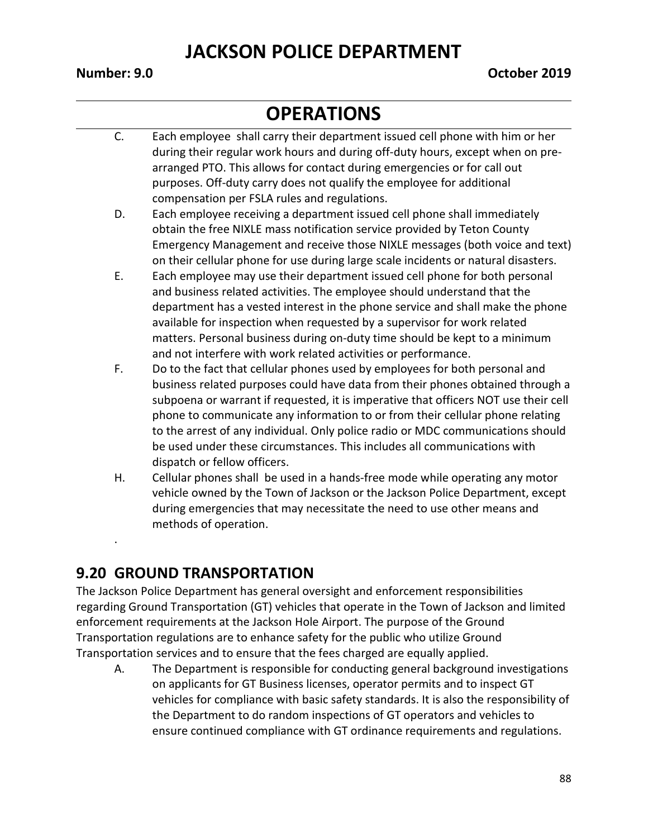#### **OPERATIONS**

- C. Each employee shall carry their department issued cell phone with him or her during their regular work hours and during off-duty hours, except when on prearranged PTO. This allows for contact during emergencies or for call out purposes. Off-duty carry does not qualify the employee for additional compensation per FSLA rules and regulations.
- D. Each employee receiving a department issued cell phone shall immediately obtain the free NIXLE mass notification service provided by Teton County Emergency Management and receive those NIXLE messages (both voice and text) on their cellular phone for use during large scale incidents or natural disasters.
- E. Each employee may use their department issued cell phone for both personal and business related activities. The employee should understand that the department has a vested interest in the phone service and shall make the phone available for inspection when requested by a supervisor for work related matters. Personal business during on-duty time should be kept to a minimum and not interfere with work related activities or performance.
- F. Do to the fact that cellular phones used by employees for both personal and business related purposes could have data from their phones obtained through a subpoena or warrant if requested, it is imperative that officers NOT use their cell phone to communicate any information to or from their cellular phone relating to the arrest of any individual. Only police radio or MDC communications should be used under these circumstances. This includes all communications with dispatch or fellow officers.
- H. Cellular phones shall be used in a hands-free mode while operating any motor vehicle owned by the Town of Jackson or the Jackson Police Department, except during emergencies that may necessitate the need to use other means and methods of operation.

#### **9.20 GROUND TRANSPORTATION**

.

The Jackson Police Department has general oversight and enforcement responsibilities regarding Ground Transportation (GT) vehicles that operate in the Town of Jackson and limited enforcement requirements at the Jackson Hole Airport. The purpose of the Ground Transportation regulations are to enhance safety for the public who utilize Ground Transportation services and to ensure that the fees charged are equally applied.

A. The Department is responsible for conducting general background investigations on applicants for GT Business licenses, operator permits and to inspect GT vehicles for compliance with basic safety standards. It is also the responsibility of the Department to do random inspections of GT operators and vehicles to ensure continued compliance with GT ordinance requirements and regulations.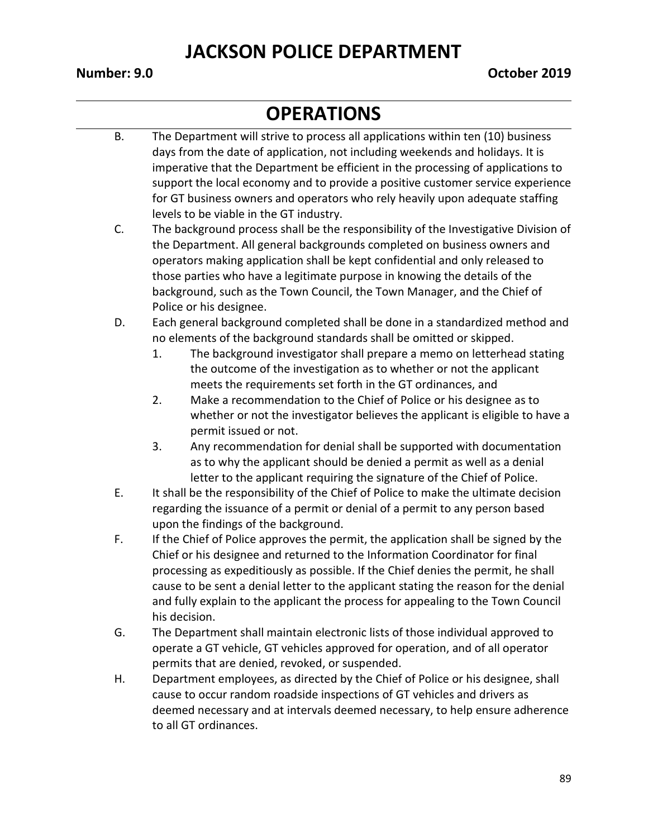- B. The Department will strive to process all applications within ten (10) business days from the date of application, not including weekends and holidays. It is imperative that the Department be efficient in the processing of applications to support the local economy and to provide a positive customer service experience for GT business owners and operators who rely heavily upon adequate staffing levels to be viable in the GT industry.
- C. The background process shall be the responsibility of the Investigative Division of the Department. All general backgrounds completed on business owners and operators making application shall be kept confidential and only released to those parties who have a legitimate purpose in knowing the details of the background, such as the Town Council, the Town Manager, and the Chief of Police or his designee.
- D. Each general background completed shall be done in a standardized method and no elements of the background standards shall be omitted or skipped.
	- 1. The background investigator shall prepare a memo on letterhead stating the outcome of the investigation as to whether or not the applicant meets the requirements set forth in the GT ordinances, and
	- 2. Make a recommendation to the Chief of Police or his designee as to whether or not the investigator believes the applicant is eligible to have a permit issued or not.
	- 3. Any recommendation for denial shall be supported with documentation as to why the applicant should be denied a permit as well as a denial letter to the applicant requiring the signature of the Chief of Police.
- E. It shall be the responsibility of the Chief of Police to make the ultimate decision regarding the issuance of a permit or denial of a permit to any person based upon the findings of the background.
- F. If the Chief of Police approves the permit, the application shall be signed by the Chief or his designee and returned to the Information Coordinator for final processing as expeditiously as possible. If the Chief denies the permit, he shall cause to be sent a denial letter to the applicant stating the reason for the denial and fully explain to the applicant the process for appealing to the Town Council his decision.
- G. The Department shall maintain electronic lists of those individual approved to operate a GT vehicle, GT vehicles approved for operation, and of all operator permits that are denied, revoked, or suspended.
- H. Department employees, as directed by the Chief of Police or his designee, shall cause to occur random roadside inspections of GT vehicles and drivers as deemed necessary and at intervals deemed necessary, to help ensure adherence to all GT ordinances.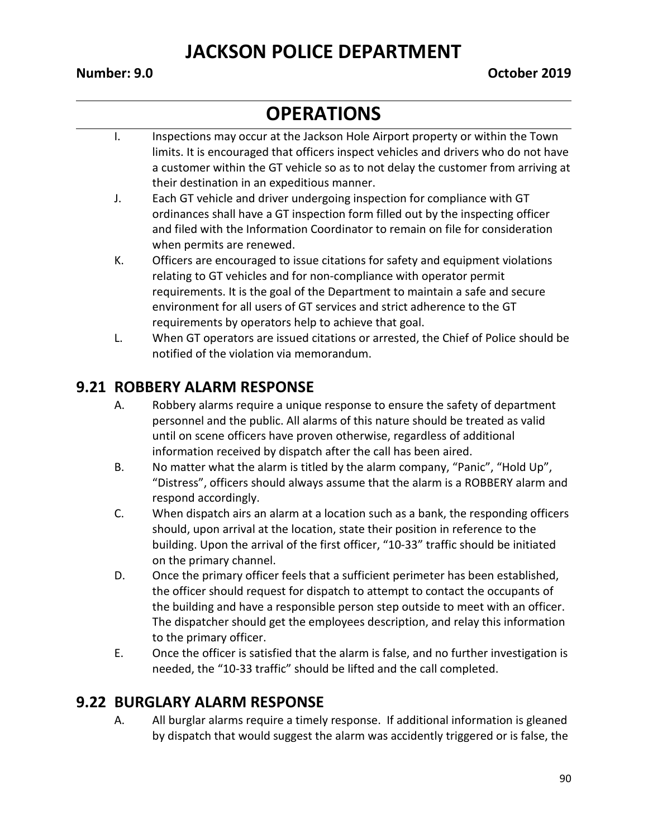# **OPERATIONS**

- I. Inspections may occur at the Jackson Hole Airport property or within the Town limits. It is encouraged that officers inspect vehicles and drivers who do not have a customer within the GT vehicle so as to not delay the customer from arriving at their destination in an expeditious manner.
- J. Each GT vehicle and driver undergoing inspection for compliance with GT ordinances shall have a GT inspection form filled out by the inspecting officer and filed with the Information Coordinator to remain on file for consideration when permits are renewed.
- K. Officers are encouraged to issue citations for safety and equipment violations relating to GT vehicles and for non-compliance with operator permit requirements. It is the goal of the Department to maintain a safe and secure environment for all users of GT services and strict adherence to the GT requirements by operators help to achieve that goal.
- L. When GT operators are issued citations or arrested, the Chief of Police should be notified of the violation via memorandum.

#### **9.21 ROBBERY ALARM RESPONSE**

- A. Robbery alarms require a unique response to ensure the safety of department personnel and the public. All alarms of this nature should be treated as valid until on scene officers have proven otherwise, regardless of additional information received by dispatch after the call has been aired.
- B. No matter what the alarm is titled by the alarm company, "Panic", "Hold Up", "Distress", officers should always assume that the alarm is a ROBBERY alarm and respond accordingly.
- C. When dispatch airs an alarm at a location such as a bank, the responding officers should, upon arrival at the location, state their position in reference to the building. Upon the arrival of the first officer, "10-33" traffic should be initiated on the primary channel.
- D. Once the primary officer feels that a sufficient perimeter has been established, the officer should request for dispatch to attempt to contact the occupants of the building and have a responsible person step outside to meet with an officer. The dispatcher should get the employees description, and relay this information to the primary officer.
- E. Once the officer is satisfied that the alarm is false, and no further investigation is needed, the "10-33 traffic" should be lifted and the call completed.

#### **9.22 BURGLARY ALARM RESPONSE**

A. All burglar alarms require a timely response. If additional information is gleaned by dispatch that would suggest the alarm was accidently triggered or is false, the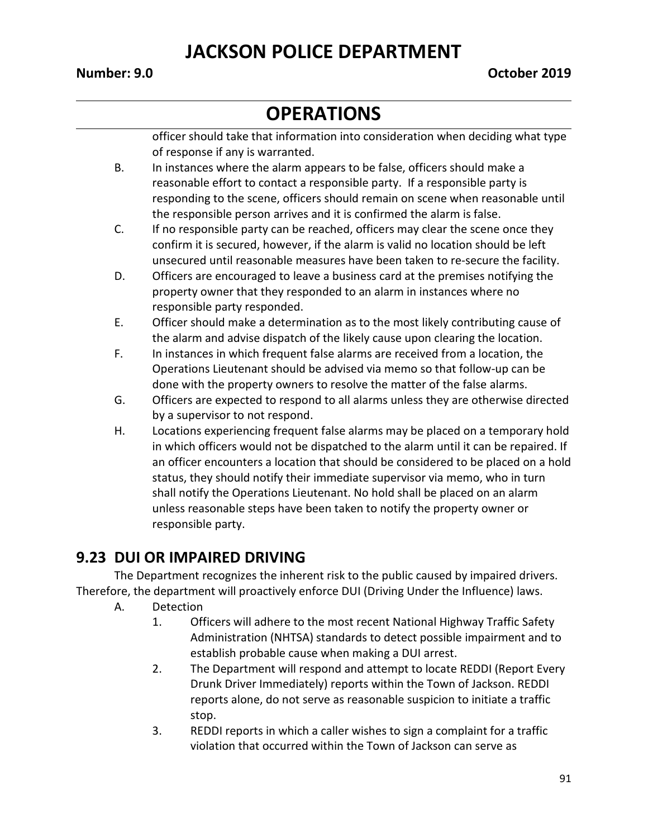# **OPERATIONS**

officer should take that information into consideration when deciding what type of response if any is warranted.

- B. In instances where the alarm appears to be false, officers should make a reasonable effort to contact a responsible party. If a responsible party is responding to the scene, officers should remain on scene when reasonable until the responsible person arrives and it is confirmed the alarm is false.
- C. If no responsible party can be reached, officers may clear the scene once they confirm it is secured, however, if the alarm is valid no location should be left unsecured until reasonable measures have been taken to re-secure the facility.
- D. Officers are encouraged to leave a business card at the premises notifying the property owner that they responded to an alarm in instances where no responsible party responded.
- E. Officer should make a determination as to the most likely contributing cause of the alarm and advise dispatch of the likely cause upon clearing the location.
- F. In instances in which frequent false alarms are received from a location, the Operations Lieutenant should be advised via memo so that follow-up can be done with the property owners to resolve the matter of the false alarms.
- G. Officers are expected to respond to all alarms unless they are otherwise directed by a supervisor to not respond.
- H. Locations experiencing frequent false alarms may be placed on a temporary hold in which officers would not be dispatched to the alarm until it can be repaired. If an officer encounters a location that should be considered to be placed on a hold status, they should notify their immediate supervisor via memo, who in turn shall notify the Operations Lieutenant. No hold shall be placed on an alarm unless reasonable steps have been taken to notify the property owner or responsible party.

#### **9.23 DUI OR IMPAIRED DRIVING**

The Department recognizes the inherent risk to the public caused by impaired drivers. Therefore, the department will proactively enforce DUI (Driving Under the Influence) laws.

- A. Detection
	- 1. Officers will adhere to the most recent National Highway Traffic Safety Administration (NHTSA) standards to detect possible impairment and to establish probable cause when making a DUI arrest.
	- 2. The Department will respond and attempt to locate REDDI (Report Every Drunk Driver Immediately) reports within the Town of Jackson. REDDI reports alone, do not serve as reasonable suspicion to initiate a traffic stop.
	- 3. REDDI reports in which a caller wishes to sign a complaint for a traffic violation that occurred within the Town of Jackson can serve as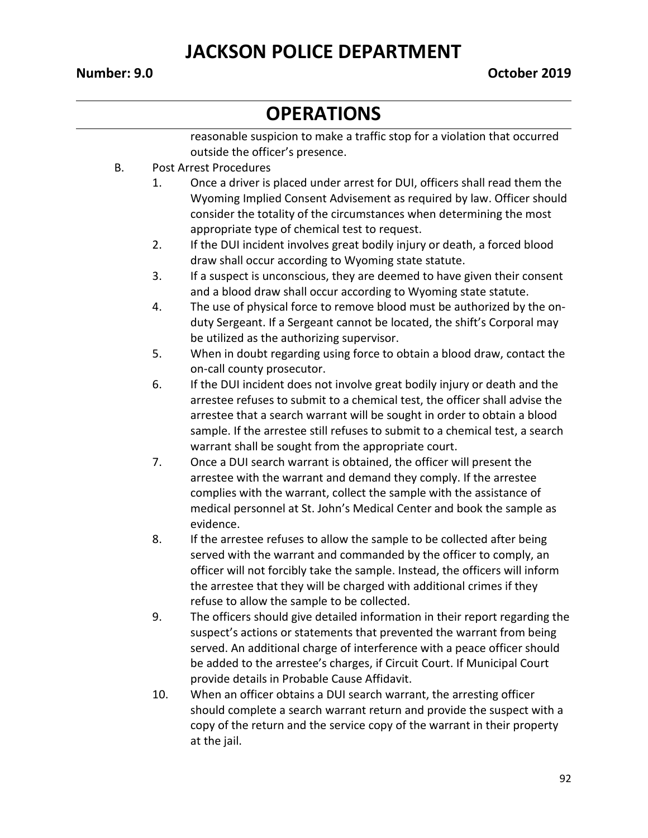# **OPERATIONS**

reasonable suspicion to make a traffic stop for a violation that occurred outside the officer's presence.

- B. Post Arrest Procedures
	- 1. Once a driver is placed under arrest for DUI, officers shall read them the Wyoming Implied Consent Advisement as required by law. Officer should consider the totality of the circumstances when determining the most appropriate type of chemical test to request.
	- 2. If the DUI incident involves great bodily injury or death, a forced blood draw shall occur according to Wyoming state statute.
	- 3. If a suspect is unconscious, they are deemed to have given their consent and a blood draw shall occur according to Wyoming state statute.
	- 4. The use of physical force to remove blood must be authorized by the onduty Sergeant. If a Sergeant cannot be located, the shift's Corporal may be utilized as the authorizing supervisor.
	- 5. When in doubt regarding using force to obtain a blood draw, contact the on-call county prosecutor.
	- 6. If the DUI incident does not involve great bodily injury or death and the arrestee refuses to submit to a chemical test, the officer shall advise the arrestee that a search warrant will be sought in order to obtain a blood sample. If the arrestee still refuses to submit to a chemical test, a search warrant shall be sought from the appropriate court.
	- 7. Once a DUI search warrant is obtained, the officer will present the arrestee with the warrant and demand they comply. If the arrestee complies with the warrant, collect the sample with the assistance of medical personnel at St. John's Medical Center and book the sample as evidence.
	- 8. If the arrestee refuses to allow the sample to be collected after being served with the warrant and commanded by the officer to comply, an officer will not forcibly take the sample. Instead, the officers will inform the arrestee that they will be charged with additional crimes if they refuse to allow the sample to be collected.
	- 9. The officers should give detailed information in their report regarding the suspect's actions or statements that prevented the warrant from being served. An additional charge of interference with a peace officer should be added to the arrestee's charges, if Circuit Court. If Municipal Court provide details in Probable Cause Affidavit.
	- 10. When an officer obtains a DUI search warrant, the arresting officer should complete a search warrant return and provide the suspect with a copy of the return and the service copy of the warrant in their property at the jail.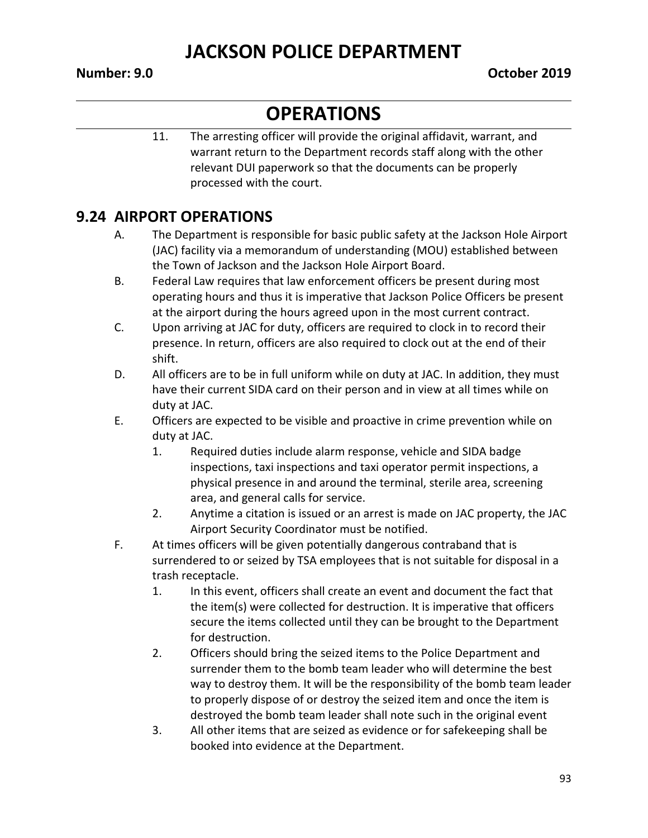# **OPERATIONS**

11. The arresting officer will provide the original affidavit, warrant, and warrant return to the Department records staff along with the other relevant DUI paperwork so that the documents can be properly processed with the court.

#### **9.24 AIRPORT OPERATIONS**

- A. The Department is responsible for basic public safety at the Jackson Hole Airport (JAC) facility via a memorandum of understanding (MOU) established between the Town of Jackson and the Jackson Hole Airport Board.
- B. Federal Law requires that law enforcement officers be present during most operating hours and thus it is imperative that Jackson Police Officers be present at the airport during the hours agreed upon in the most current contract.
- C. Upon arriving at JAC for duty, officers are required to clock in to record their presence. In return, officers are also required to clock out at the end of their shift.
- D. All officers are to be in full uniform while on duty at JAC. In addition, they must have their current SIDA card on their person and in view at all times while on duty at JAC.
- E. Officers are expected to be visible and proactive in crime prevention while on duty at JAC.
	- 1. Required duties include alarm response, vehicle and SIDA badge inspections, taxi inspections and taxi operator permit inspections, a physical presence in and around the terminal, sterile area, screening area, and general calls for service.
	- 2. Anytime a citation is issued or an arrest is made on JAC property, the JAC Airport Security Coordinator must be notified.
- F. At times officers will be given potentially dangerous contraband that is surrendered to or seized by TSA employees that is not suitable for disposal in a trash receptacle.
	- 1. In this event, officers shall create an event and document the fact that the item(s) were collected for destruction. It is imperative that officers secure the items collected until they can be brought to the Department for destruction.
	- 2. Officers should bring the seized items to the Police Department and surrender them to the bomb team leader who will determine the best way to destroy them. It will be the responsibility of the bomb team leader to properly dispose of or destroy the seized item and once the item is destroyed the bomb team leader shall note such in the original event
	- 3. All other items that are seized as evidence or for safekeeping shall be booked into evidence at the Department.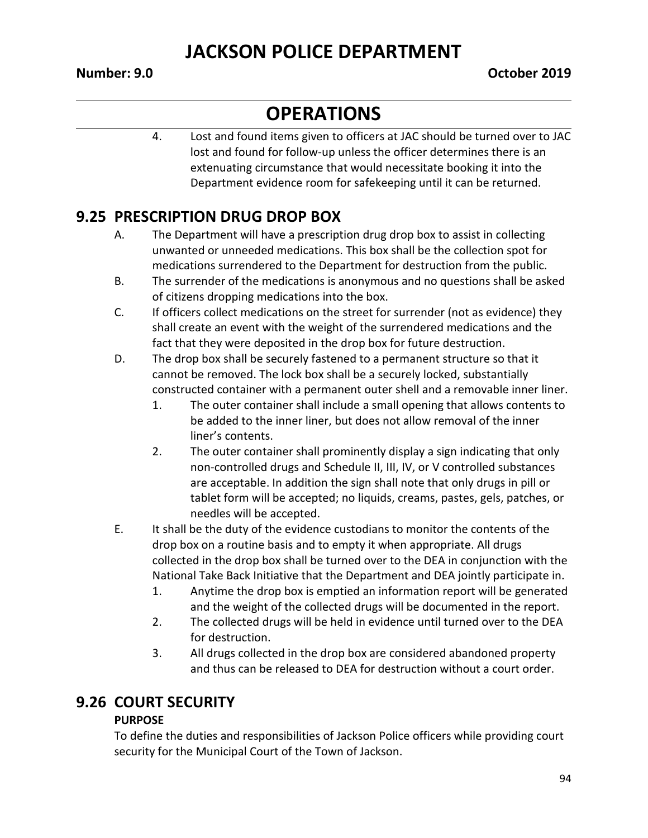# **OPERATIONS**

4. Lost and found items given to officers at JAC should be turned over to JAC lost and found for follow-up unless the officer determines there is an extenuating circumstance that would necessitate booking it into the Department evidence room for safekeeping until it can be returned.

#### **9.25 PRESCRIPTION DRUG DROP BOX**

- A. The Department will have a prescription drug drop box to assist in collecting unwanted or unneeded medications. This box shall be the collection spot for medications surrendered to the Department for destruction from the public.
- B. The surrender of the medications is anonymous and no questions shall be asked of citizens dropping medications into the box.
- C. If officers collect medications on the street for surrender (not as evidence) they shall create an event with the weight of the surrendered medications and the fact that they were deposited in the drop box for future destruction.
- D. The drop box shall be securely fastened to a permanent structure so that it cannot be removed. The lock box shall be a securely locked, substantially constructed container with a permanent outer shell and a removable inner liner.
	- 1. The outer container shall include a small opening that allows contents to be added to the inner liner, but does not allow removal of the inner liner's contents.
	- 2. The outer container shall prominently display a sign indicating that only non-controlled drugs and Schedule II, III, IV, or V controlled substances are acceptable. In addition the sign shall note that only drugs in pill or tablet form will be accepted; no liquids, creams, pastes, gels, patches, or needles will be accepted.
- E. It shall be the duty of the evidence custodians to monitor the contents of the drop box on a routine basis and to empty it when appropriate. All drugs collected in the drop box shall be turned over to the DEA in conjunction with the National Take Back Initiative that the Department and DEA jointly participate in.
	- 1. Anytime the drop box is emptied an information report will be generated and the weight of the collected drugs will be documented in the report.
	- 2. The collected drugs will be held in evidence until turned over to the DEA for destruction.
	- 3. All drugs collected in the drop box are considered abandoned property and thus can be released to DEA for destruction without a court order.

#### **9.26 COURT SECURITY**

#### **PURPOSE**

To define the duties and responsibilities of Jackson Police officers while providing court security for the Municipal Court of the Town of Jackson.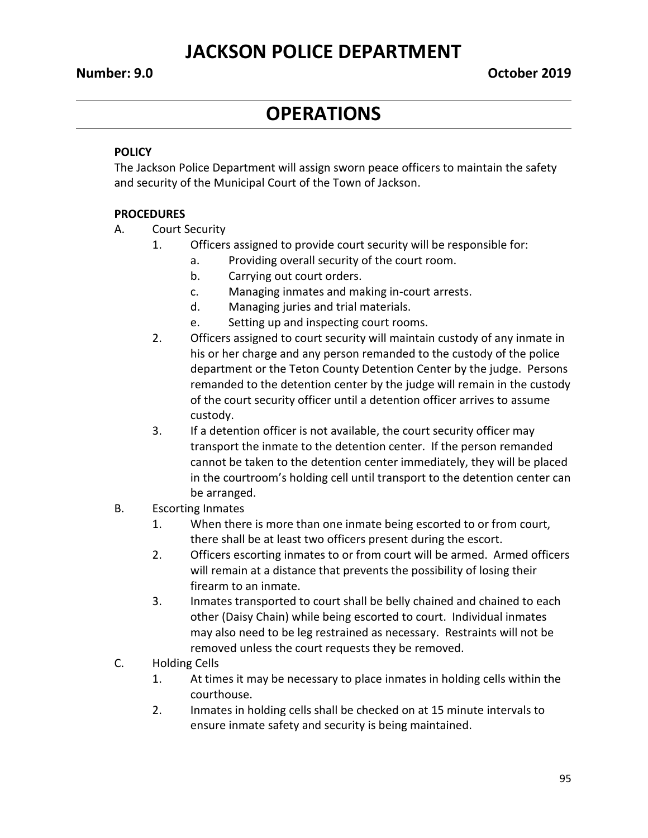# **OPERATIONS**

#### **POLICY**

The Jackson Police Department will assign sworn peace officers to maintain the safety and security of the Municipal Court of the Town of Jackson.

#### **PROCEDURES**

- A. Court Security
	- 1. Officers assigned to provide court security will be responsible for:
		- a. Providing overall security of the court room.
		- b. Carrying out court orders.
		- c. Managing inmates and making in-court arrests.
		- d. Managing juries and trial materials.
		- e. Setting up and inspecting court rooms.
	- 2. Officers assigned to court security will maintain custody of any inmate in his or her charge and any person remanded to the custody of the police department or the Teton County Detention Center by the judge. Persons remanded to the detention center by the judge will remain in the custody of the court security officer until a detention officer arrives to assume custody.
	- 3. If a detention officer is not available, the court security officer may transport the inmate to the detention center. If the person remanded cannot be taken to the detention center immediately, they will be placed in the courtroom's holding cell until transport to the detention center can be arranged.
- B. Escorting Inmates
	- 1. When there is more than one inmate being escorted to or from court, there shall be at least two officers present during the escort.
	- 2. Officers escorting inmates to or from court will be armed. Armed officers will remain at a distance that prevents the possibility of losing their firearm to an inmate.
	- 3. Inmates transported to court shall be belly chained and chained to each other (Daisy Chain) while being escorted to court. Individual inmates may also need to be leg restrained as necessary. Restraints will not be removed unless the court requests they be removed.
- C. Holding Cells
	- 1. At times it may be necessary to place inmates in holding cells within the courthouse.
	- 2. Inmates in holding cells shall be checked on at 15 minute intervals to ensure inmate safety and security is being maintained.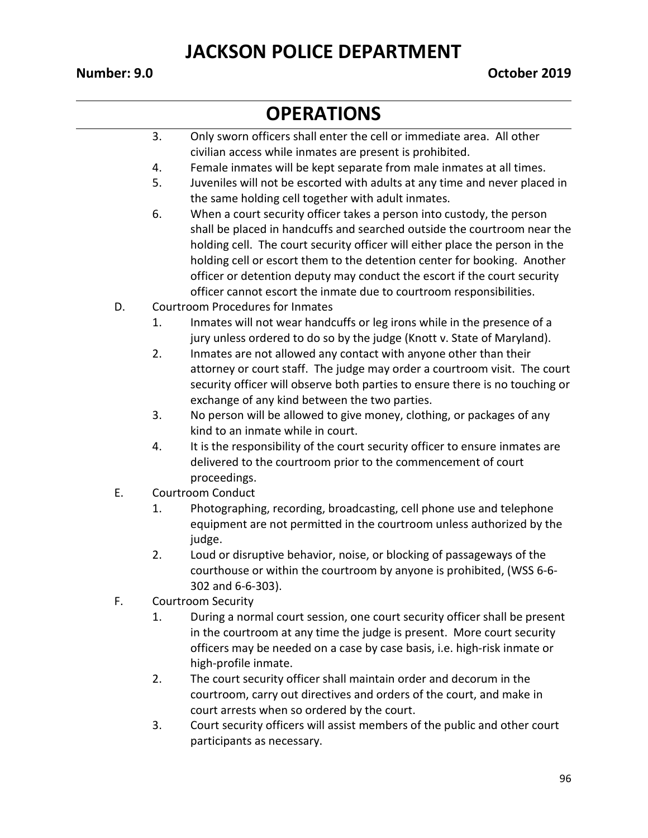- 3. Only sworn officers shall enter the cell or immediate area. All other civilian access while inmates are present is prohibited.
- 4. Female inmates will be kept separate from male inmates at all times.
- 5. Juveniles will not be escorted with adults at any time and never placed in the same holding cell together with adult inmates.
- 6. When a court security officer takes a person into custody, the person shall be placed in handcuffs and searched outside the courtroom near the holding cell. The court security officer will either place the person in the holding cell or escort them to the detention center for booking. Another officer or detention deputy may conduct the escort if the court security officer cannot escort the inmate due to courtroom responsibilities.
- D. Courtroom Procedures for Inmates
	- 1. Inmates will not wear handcuffs or leg irons while in the presence of a jury unless ordered to do so by the judge (Knott v. State of Maryland).
	- 2. Inmates are not allowed any contact with anyone other than their attorney or court staff. The judge may order a courtroom visit. The court security officer will observe both parties to ensure there is no touching or exchange of any kind between the two parties.
	- 3. No person will be allowed to give money, clothing, or packages of any kind to an inmate while in court.
	- 4. It is the responsibility of the court security officer to ensure inmates are delivered to the courtroom prior to the commencement of court proceedings.
- E. Courtroom Conduct
	- 1. Photographing, recording, broadcasting, cell phone use and telephone equipment are not permitted in the courtroom unless authorized by the judge.
	- 2. Loud or disruptive behavior, noise, or blocking of passageways of the courthouse or within the courtroom by anyone is prohibited, (WSS 6-6- 302 and 6-6-303).
- F. Courtroom Security
	- 1. During a normal court session, one court security officer shall be present in the courtroom at any time the judge is present. More court security officers may be needed on a case by case basis, i.e. high-risk inmate or high-profile inmate.
	- 2. The court security officer shall maintain order and decorum in the courtroom, carry out directives and orders of the court, and make in court arrests when so ordered by the court.
	- 3. Court security officers will assist members of the public and other court participants as necessary.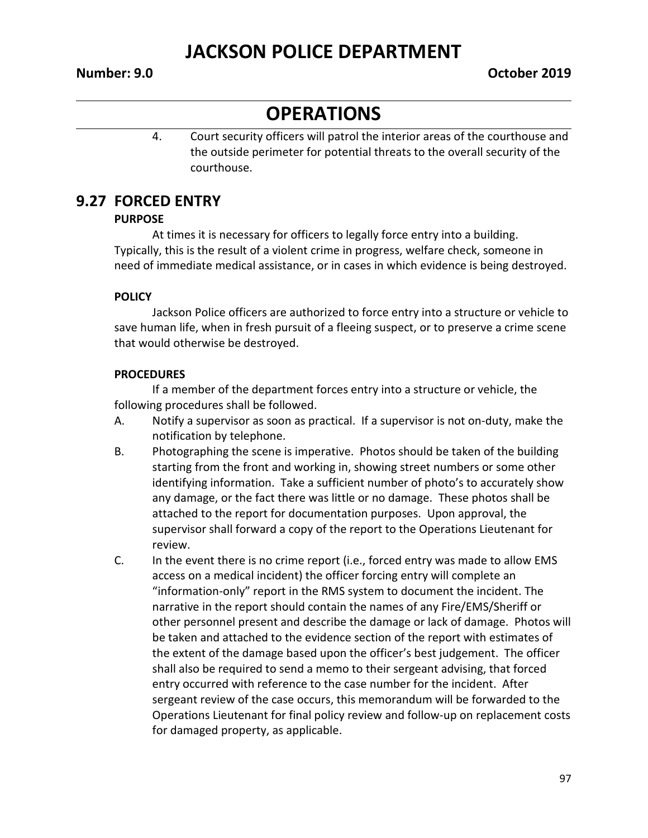#### **OPERATIONS**

4. Court security officers will patrol the interior areas of the courthouse and the outside perimeter for potential threats to the overall security of the courthouse.

#### **9.27 FORCED ENTRY**

#### **PURPOSE**

At times it is necessary for officers to legally force entry into a building. Typically, this is the result of a violent crime in progress, welfare check, someone in need of immediate medical assistance, or in cases in which evidence is being destroyed.

#### **POLICY**

Jackson Police officers are authorized to force entry into a structure or vehicle to save human life, when in fresh pursuit of a fleeing suspect, or to preserve a crime scene that would otherwise be destroyed.

#### **PROCEDURES**

If a member of the department forces entry into a structure or vehicle, the following procedures shall be followed.

- A. Notify a supervisor as soon as practical. If a supervisor is not on-duty, make the notification by telephone.
- B. Photographing the scene is imperative. Photos should be taken of the building starting from the front and working in, showing street numbers or some other identifying information. Take a sufficient number of photo's to accurately show any damage, or the fact there was little or no damage. These photos shall be attached to the report for documentation purposes. Upon approval, the supervisor shall forward a copy of the report to the Operations Lieutenant for review.
- C. In the event there is no crime report (i.e., forced entry was made to allow EMS access on a medical incident) the officer forcing entry will complete an "information-only" report in the RMS system to document the incident. The narrative in the report should contain the names of any Fire/EMS/Sheriff or other personnel present and describe the damage or lack of damage. Photos will be taken and attached to the evidence section of the report with estimates of the extent of the damage based upon the officer's best judgement. The officer shall also be required to send a memo to their sergeant advising, that forced entry occurred with reference to the case number for the incident. After sergeant review of the case occurs, this memorandum will be forwarded to the Operations Lieutenant for final policy review and follow-up on replacement costs for damaged property, as applicable.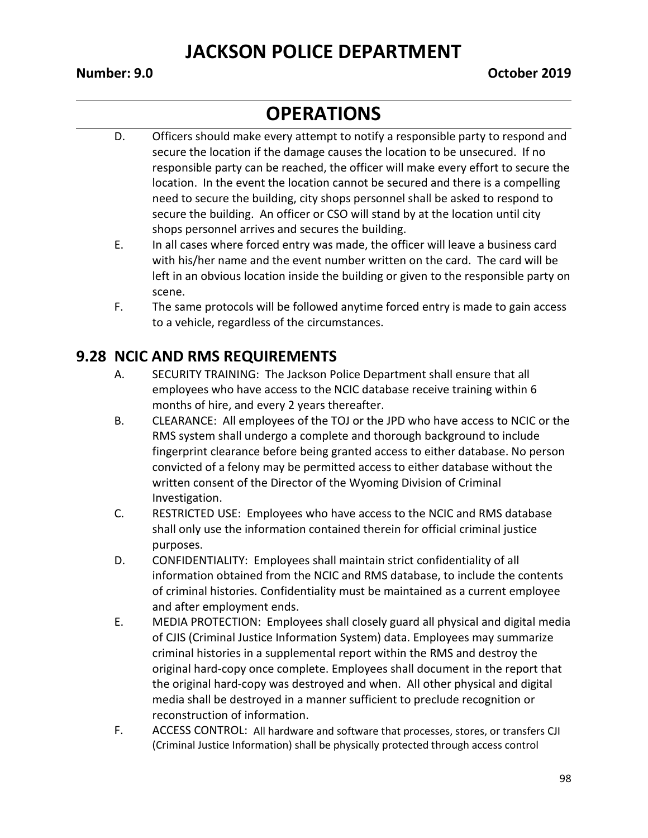#### **OPERATIONS**

- D. Officers should make every attempt to notify a responsible party to respond and secure the location if the damage causes the location to be unsecured. If no responsible party can be reached, the officer will make every effort to secure the location. In the event the location cannot be secured and there is a compelling need to secure the building, city shops personnel shall be asked to respond to secure the building. An officer or CSO will stand by at the location until city shops personnel arrives and secures the building.
- E. In all cases where forced entry was made, the officer will leave a business card with his/her name and the event number written on the card. The card will be left in an obvious location inside the building or given to the responsible party on scene.
- F. The same protocols will be followed anytime forced entry is made to gain access to a vehicle, regardless of the circumstances.

#### **9.28 NCIC AND RMS REQUIREMENTS**

- A. SECURITY TRAINING: The Jackson Police Department shall ensure that all employees who have access to the NCIC database receive training within 6 months of hire, and every 2 years thereafter.
- B. CLEARANCE: All employees of the TOJ or the JPD who have access to NCIC or the RMS system shall undergo a complete and thorough background to include fingerprint clearance before being granted access to either database. No person convicted of a felony may be permitted access to either database without the written consent of the Director of the Wyoming Division of Criminal Investigation.
- C. RESTRICTED USE: Employees who have access to the NCIC and RMS database shall only use the information contained therein for official criminal justice purposes.
- D. CONFIDENTIALITY: Employees shall maintain strict confidentiality of all information obtained from the NCIC and RMS database, to include the contents of criminal histories. Confidentiality must be maintained as a current employee and after employment ends.
- E. MEDIA PROTECTION: Employees shall closely guard all physical and digital media of CJIS (Criminal Justice Information System) data. Employees may summarize criminal histories in a supplemental report within the RMS and destroy the original hard-copy once complete. Employees shall document in the report that the original hard-copy was destroyed and when. All other physical and digital media shall be destroyed in a manner sufficient to preclude recognition or reconstruction of information.
- F. ACCESS CONTROL: All hardware and software that processes, stores, or transfers CJI (Criminal Justice Information) shall be physically protected through access control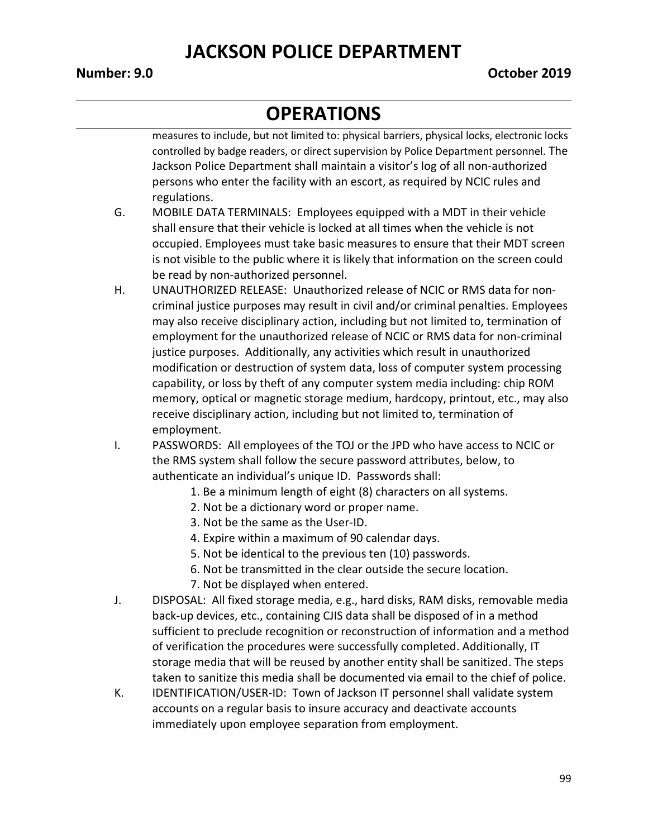#### **OPERATIONS**

measures to include, but not limited to: physical barriers, physical locks, electronic locks controlled by badge readers, or direct supervision by Police Department personnel. The Jackson Police Department shall maintain a visitor's log of all non-authorized persons who enter the facility with an escort, as required by NCIC rules and regulations.

- G. MOBILE DATA TERMINALS: Employees equipped with a MDT in their vehicle shall ensure that their vehicle is locked at all times when the vehicle is not occupied. Employees must take basic measures to ensure that their MDT screen is not visible to the public where it is likely that information on the screen could be read by non-authorized personnel.
- H. UNAUTHORIZED RELEASE: Unauthorized release of NCIC or RMS data for noncriminal justice purposes may result in civil and/or criminal penalties. Employees may also receive disciplinary action, including but not limited to, termination of employment for the unauthorized release of NCIC or RMS data for non-criminal justice purposes. Additionally, any activities which result in unauthorized modification or destruction of system data, loss of computer system processing capability, or loss by theft of any computer system media including: chip ROM memory, optical or magnetic storage medium, hardcopy, printout, etc., may also receive disciplinary action, including but not limited to, termination of employment.
- I. PASSWORDS: All employees of the TOJ or the JPD who have access to NCIC or the RMS system shall follow the secure password attributes, below, to authenticate an individual's unique ID. Passwords shall:
	- 1. Be a minimum length of eight (8) characters on all systems.
	- 2. Not be a dictionary word or proper name.
	- 3. Not be the same as the User-ID.
	- 4. Expire within a maximum of 90 calendar days.
	- 5. Not be identical to the previous ten (10) passwords.
	- 6. Not be transmitted in the clear outside the secure location.
	- 7. Not be displayed when entered.
- J. DISPOSAL: All fixed storage media, e.g., hard disks, RAM disks, removable media back-up devices, etc., containing CJIS data shall be disposed of in a method sufficient to preclude recognition or reconstruction of information and a method of verification the procedures were successfully completed. Additionally, IT storage media that will be reused by another entity shall be sanitized. The steps taken to sanitize this media shall be documented via email to the chief of police.
- K. IDENTIFICATION/USER-ID: Town of Jackson IT personnel shall validate system accounts on a regular basis to insure accuracy and deactivate accounts immediately upon employee separation from employment.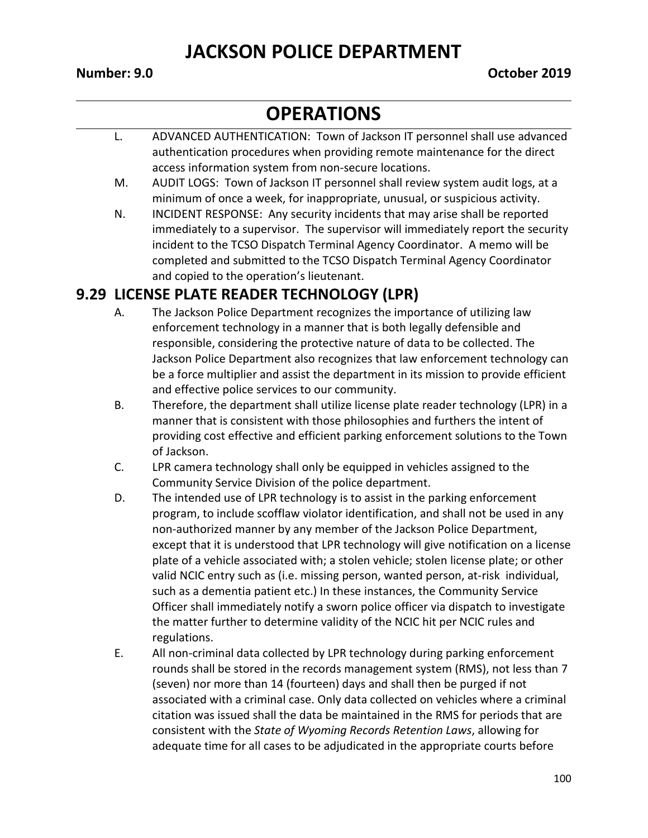# **OPERATIONS**

- L. ADVANCED AUTHENTICATION: Town of Jackson IT personnel shall use advanced authentication procedures when providing remote maintenance for the direct access information system from non-secure locations.
- M. AUDIT LOGS: Town of Jackson IT personnel shall review system audit logs, at a minimum of once a week, for inappropriate, unusual, or suspicious activity.
- N. INCIDENT RESPONSE: Any security incidents that may arise shall be reported immediately to a supervisor. The supervisor will immediately report the security incident to the TCSO Dispatch Terminal Agency Coordinator. A memo will be completed and submitted to the TCSO Dispatch Terminal Agency Coordinator and copied to the operation's lieutenant.

#### **9.29 LICENSE PLATE READER TECHNOLOGY (LPR)**

- A. The Jackson Police Department recognizes the importance of utilizing law enforcement technology in a manner that is both legally defensible and responsible, considering the protective nature of data to be collected. The Jackson Police Department also recognizes that law enforcement technology can be a force multiplier and assist the department in its mission to provide efficient and effective police services to our community.
- B. Therefore, the department shall utilize license plate reader technology (LPR) in a manner that is consistent with those philosophies and furthers the intent of providing cost effective and efficient parking enforcement solutions to the Town of Jackson.
- C. LPR camera technology shall only be equipped in vehicles assigned to the Community Service Division of the police department.
- D. The intended use of LPR technology is to assist in the parking enforcement program, to include scofflaw violator identification, and shall not be used in any non-authorized manner by any member of the Jackson Police Department, except that it is understood that LPR technology will give notification on a license plate of a vehicle associated with; a stolen vehicle; stolen license plate; or other valid NCIC entry such as (i.e. missing person, wanted person, at-risk individual, such as a dementia patient etc.) In these instances, the Community Service Officer shall immediately notify a sworn police officer via dispatch to investigate the matter further to determine validity of the NCIC hit per NCIC rules and regulations.
- E. All non-criminal data collected by LPR technology during parking enforcement rounds shall be stored in the records management system (RMS), not less than 7 (seven) nor more than 14 (fourteen) days and shall then be purged if not associated with a criminal case. Only data collected on vehicles where a criminal citation was issued shall the data be maintained in the RMS for periods that are consistent with the *State of Wyoming Records Retention Laws*, allowing for adequate time for all cases to be adjudicated in the appropriate courts before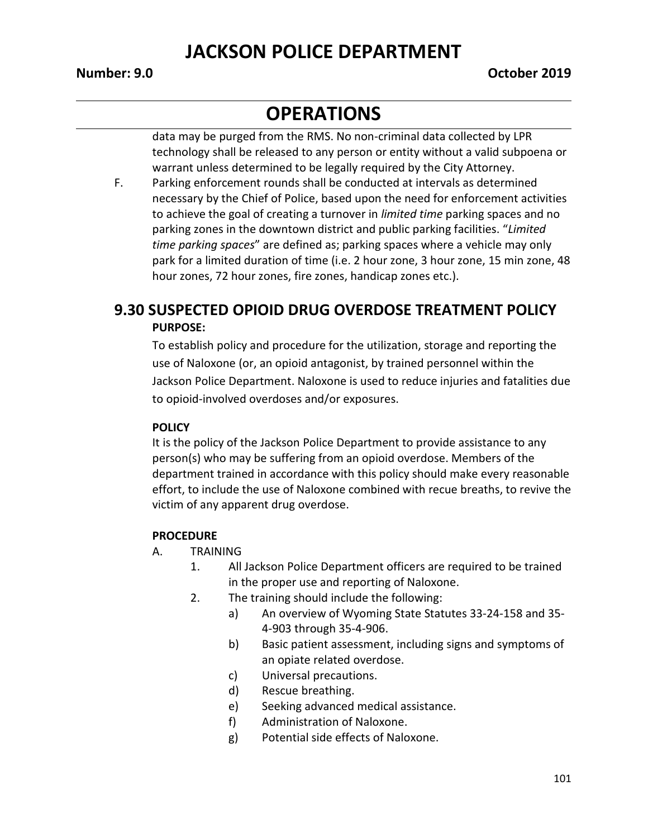#### **OPERATIONS**

data may be purged from the RMS. No non-criminal data collected by LPR technology shall be released to any person or entity without a valid subpoena or warrant unless determined to be legally required by the City Attorney.

F. Parking enforcement rounds shall be conducted at intervals as determined necessary by the Chief of Police, based upon the need for enforcement activities to achieve the goal of creating a turnover in *limited time* parking spaces and no parking zones in the downtown district and public parking facilities. "*Limited time parking spaces*" are defined as; parking spaces where a vehicle may only park for a limited duration of time (i.e. 2 hour zone, 3 hour zone, 15 min zone, 48 hour zones, 72 hour zones, fire zones, handicap zones etc.).

#### **9.30 SUSPECTED OPIOID DRUG OVERDOSE TREATMENT POLICY PURPOSE:**

To establish policy and procedure for the utilization, storage and reporting the use of Naloxone (or, an opioid antagonist, by trained personnel within the Jackson Police Department. Naloxone is used to reduce injuries and fatalities due to opioid-involved overdoses and/or exposures.

#### **POLICY**

It is the policy of the Jackson Police Department to provide assistance to any person(s) who may be suffering from an opioid overdose. Members of the department trained in accordance with this policy should make every reasonable effort, to include the use of Naloxone combined with recue breaths, to revive the victim of any apparent drug overdose.

#### **PROCEDURE**

- A. TRAINING
	- 1. All Jackson Police Department officers are required to be trained in the proper use and reporting of Naloxone.
	- 2. The training should include the following:
		- a) An overview of Wyoming State Statutes 33-24-158 and 35- 4-903 through 35-4-906.
		- b) Basic patient assessment, including signs and symptoms of an opiate related overdose.
		- c) Universal precautions.
		- d) Rescue breathing.
		- e) Seeking advanced medical assistance.
		- f) Administration of Naloxone.
		- g) Potential side effects of Naloxone.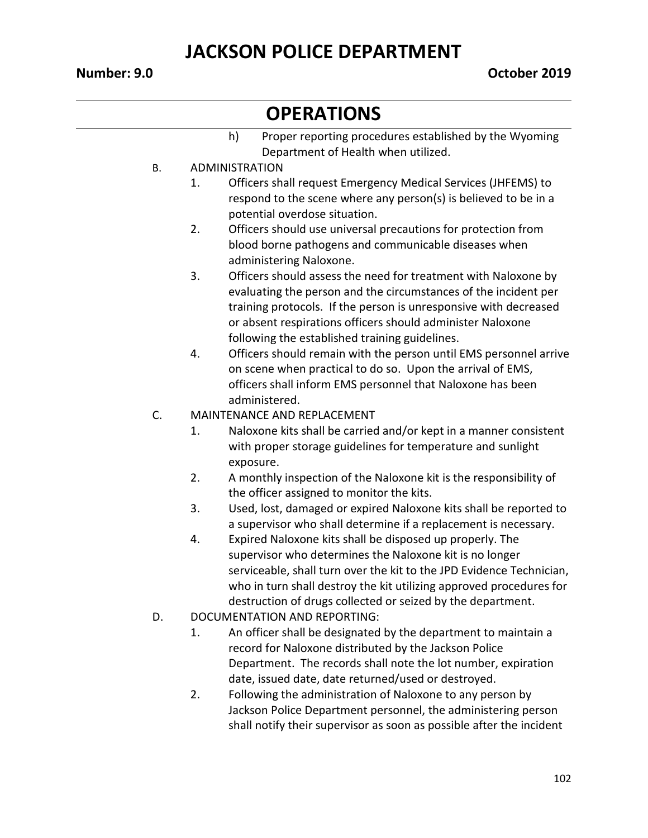- h) Proper reporting procedures established by the Wyoming Department of Health when utilized.
- B. ADMINISTRATION
	- 1. Officers shall request Emergency Medical Services (JHFEMS) to respond to the scene where any person(s) is believed to be in a potential overdose situation.
	- 2. Officers should use universal precautions for protection from blood borne pathogens and communicable diseases when administering Naloxone.
	- 3. Officers should assess the need for treatment with Naloxone by evaluating the person and the circumstances of the incident per training protocols. If the person is unresponsive with decreased or absent respirations officers should administer Naloxone following the established training guidelines.
	- 4. Officers should remain with the person until EMS personnel arrive on scene when practical to do so. Upon the arrival of EMS, officers shall inform EMS personnel that Naloxone has been administered.
- C. MAINTENANCE AND REPLACEMENT
	- 1. Naloxone kits shall be carried and/or kept in a manner consistent with proper storage guidelines for temperature and sunlight exposure.
	- 2. A monthly inspection of the Naloxone kit is the responsibility of the officer assigned to monitor the kits.
	- 3. Used, lost, damaged or expired Naloxone kits shall be reported to a supervisor who shall determine if a replacement is necessary.
	- 4. Expired Naloxone kits shall be disposed up properly. The supervisor who determines the Naloxone kit is no longer serviceable, shall turn over the kit to the JPD Evidence Technician, who in turn shall destroy the kit utilizing approved procedures for destruction of drugs collected or seized by the department.
- D. DOCUMENTATION AND REPORTING:
	- 1. An officer shall be designated by the department to maintain a record for Naloxone distributed by the Jackson Police Department. The records shall note the lot number, expiration date, issued date, date returned/used or destroyed.
	- 2. Following the administration of Naloxone to any person by Jackson Police Department personnel, the administering person shall notify their supervisor as soon as possible after the incident